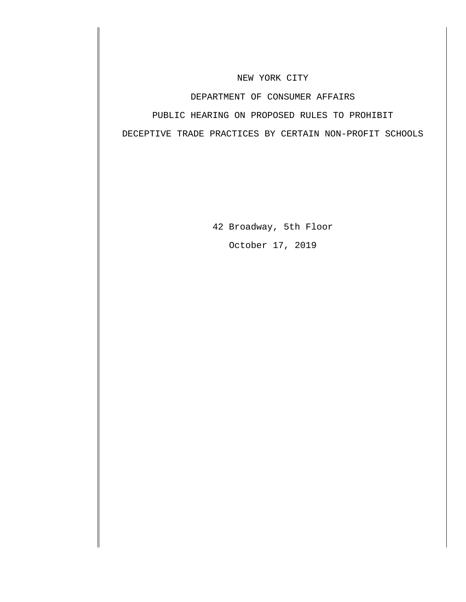#### NEW YORK CITY

#### DEPARTMENT OF CONSUMER AFFAIRS

#### PUBLIC HEARING ON PROPOSED RULES TO PROHIBIT

DECEPTIVE TRADE PRACTICES BY CERTAIN NON-PROFIT SCHOOLS

42 Broadway, 5th Floor October 17, 2019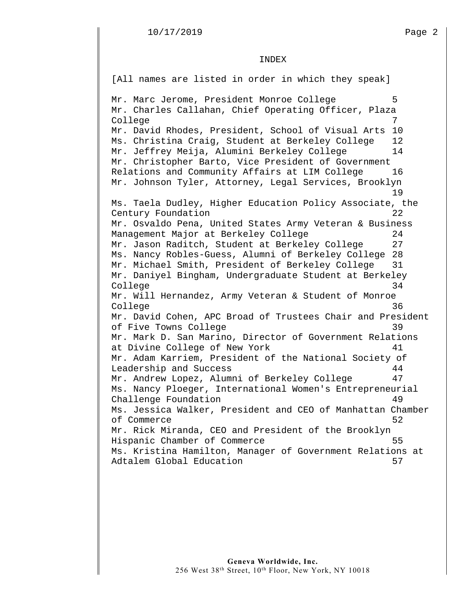#### INDEX

[All names are listed in order in which they speak]

Mr. Marc Jerome, President Monroe College 5 Mr. Charles Callahan, Chief Operating Officer, Plaza College 7 Mr. David Rhodes, President, School of Visual Arts 10 Ms. Christina Craig, Student at Berkeley College 12 Mr. Jeffrey Meija, Alumini Berkeley College 14 Mr. Christopher Barto, Vice President of Government Relations and Community Affairs at LIM College 16 Mr. Johnson Tyler, Attorney, Legal Services, Brooklyn 19 Ms. Taela Dudley, Higher Education Policy Associate, the Century Foundation 22 Mr. Osvaldo Pena, United States Army Veteran & Business Management Major at Berkeley College 24 Mr. Jason Raditch, Student at Berkeley College 27 Ms. Nancy Robles-Guess, Alumni of Berkeley College 28 Mr. Michael Smith, President of Berkeley College 31 Mr. Daniyel Bingham, Undergraduate Student at Berkeley College 34 Mr. Will Hernandez, Army Veteran & Student of Monroe College 36 Mr. David Cohen, APC Broad of Trustees Chair and President of Five Towns College 39 Mr. Mark D. San Marino, Director of Government Relations at Divine College of New York 11 Mr. Adam Karriem, President of the National Society of Leadership and Success 44 Mr. Andrew Lopez, Alumni of Berkeley College 47 Ms. Nancy Ploeger, International Women's Entrepreneurial Challenge Foundation 49 Ms. Jessica Walker, President and CEO of Manhattan Chamber of Commerce 52 Mr. Rick Miranda, CEO and President of the Brooklyn Hispanic Chamber of Commerce 55 Ms. Kristina Hamilton, Manager of Government Relations at Adtalem Global Education 57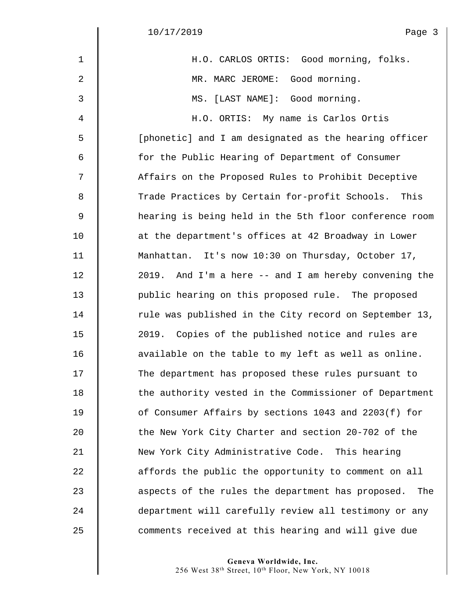$\begin{array}{c} \hline \end{array}$ 

| $\mathbf 1$ | H.O. CARLOS ORTIS: Good morning, folks.                  |
|-------------|----------------------------------------------------------|
| 2           | MR. MARC JEROME: Good morning.                           |
| 3           | MS. [LAST NAME]: Good morning.                           |
| 4           | H.O. ORTIS: My name is Carlos Ortis                      |
| 5           | [phonetic] and I am designated as the hearing officer    |
| 6           | for the Public Hearing of Department of Consumer         |
| 7           | Affairs on the Proposed Rules to Prohibit Deceptive      |
| 8           | Trade Practices by Certain for-profit Schools. This      |
| 9           | hearing is being held in the 5th floor conference room   |
| 10          | at the department's offices at 42 Broadway in Lower      |
| 11          | Manhattan. It's now 10:30 on Thursday, October 17,       |
| 12          | 2019. And I'm a here -- and I am hereby convening the    |
| 13          | public hearing on this proposed rule. The proposed       |
| 14          | rule was published in the City record on September 13,   |
| 15          | 2019. Copies of the published notice and rules are       |
| 16          | available on the table to my left as well as online.     |
| 17          | The department has proposed these rules pursuant to      |
| 18          | the authority vested in the Commissioner of Department   |
| 19          | of Consumer Affairs by sections 1043 and 2203(f) for     |
| 20          | the New York City Charter and section 20-702 of the      |
| 21          | New York City Administrative Code. This hearing          |
| 22          | affords the public the opportunity to comment on all     |
| 23          | aspects of the rules the department has proposed.<br>The |
| 24          | department will carefully review all testimony or any    |
| 25          | comments received at this hearing and will give due      |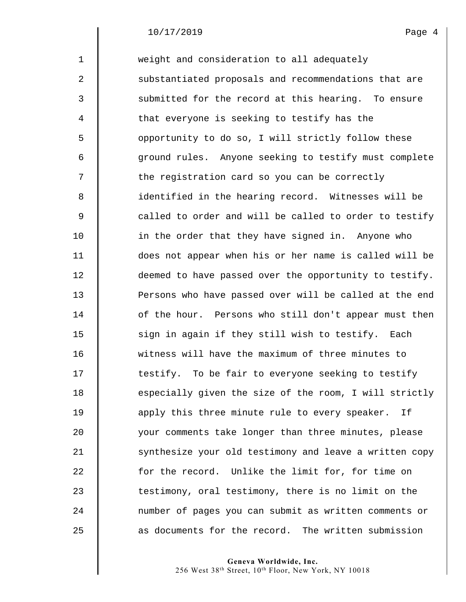1 weight and consideration to all adequately 2 | substantiated proposals and recommendations that are 3 Submitted for the record at this hearing. To ensure 4  $\parallel$  that everyone is seeking to testify has the 5 | opportunity to do so, I will strictly follow these 6 ground rules. Anyone seeking to testify must complete  $7 \parallel$  the registration card so you can be correctly 8 || identified in the hearing record. Witnesses will be  $9 \parallel$  called to order and will be called to order to testify 10 **in the order that they have signed in.** Anyone who 11 does not appear when his or her name is called will be 12  $\parallel$  deemed to have passed over the opportunity to testify. 13 **Persons who have passed over will be called at the end** 14 **dec** of the hour. Persons who still don't appear must then 15 | sign in again if they still wish to testify. Each 16  $\parallel$  witness will have the maximum of three minutes to 17 **testify.** To be fair to everyone seeking to testify 18 especially given the size of the room, I will strictly 19 **b** apply this three minute rule to every speaker. If 20 your comments take longer than three minutes, please 21 Synthesize your old testimony and leave a written copy 22 for the record. Unlike the limit for, for time on 23 The statimony, oral testimony, there is no limit on the 24 number of pages you can submit as written comments or 25 **a** as documents for the record. The written submission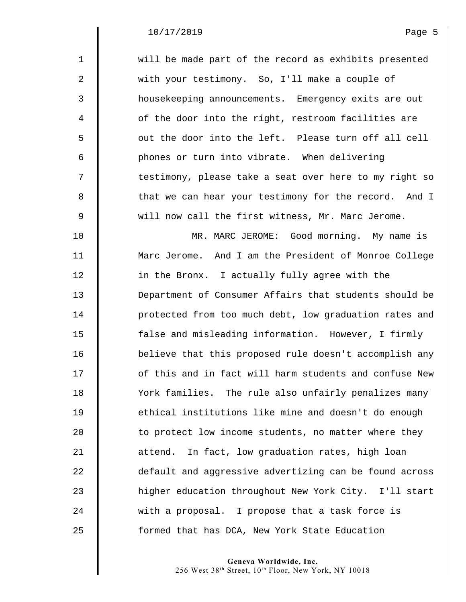| $\mathbf{1}$   | will be made part of the record as exhibits presented  |
|----------------|--------------------------------------------------------|
| 2              | with your testimony. So, I'll make a couple of         |
| 3              | housekeeping announcements. Emergency exits are out    |
| $\overline{4}$ | of the door into the right, restroom facilities are    |
| 5              | out the door into the left. Please turn off all cell   |
| 6              | phones or turn into vibrate. When delivering           |
| 7              | testimony, please take a seat over here to my right so |
| 8              | that we can hear your testimony for the record. And I  |
| 9              | will now call the first witness, Mr. Marc Jerome.      |
| 10             | MR. MARC JEROME: Good morning. My name is              |
| 11             | Marc Jerome. And I am the President of Monroe College  |
| 12             | in the Bronx. I actually fully agree with the          |
| 13             | Department of Consumer Affairs that students should be |
| 14             | protected from too much debt, low graduation rates and |
| 15             | false and misleading information. However, I firmly    |
| 16             | believe that this proposed rule doesn't accomplish any |
| 17             | of this and in fact will harm students and confuse New |
| 18             | York families. The rule also unfairly penalizes many   |
| 19             | ethical institutions like mine and doesn't do enough   |
| 20             | to protect low income students, no matter where they   |
| 21             | In fact, low graduation rates, high loan<br>attend.    |
| 22             | default and aggressive advertizing can be found across |
| 23             | higher education throughout New York City. I'll start  |
| 24             | with a proposal. I propose that a task force is        |
| 25             | formed that has DCA, New York State Education          |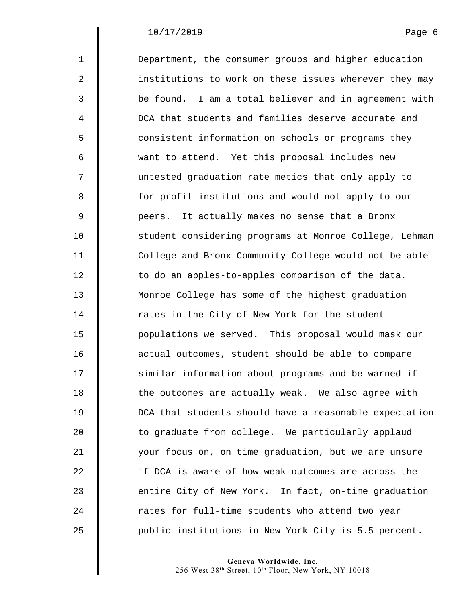| $\mathbf 1$      | Department, the consumer groups and higher education   |
|------------------|--------------------------------------------------------|
| $\boldsymbol{2}$ | institutions to work on these issues wherever they may |
| 3                | be found. I am a total believer and in agreement with  |
| 4                | DCA that students and families deserve accurate and    |
| 5                | consistent information on schools or programs they     |
| 6                | want to attend. Yet this proposal includes new         |
| 7                | untested graduation rate metics that only apply to     |
| 8                | for-profit institutions and would not apply to our     |
| $\mathsf 9$      | peers. It actually makes no sense that a Bronx         |
| 10               | student considering programs at Monroe College, Lehman |
| 11               | College and Bronx Community College would not be able  |
| 12               | to do an apples-to-apples comparison of the data.      |
| 13               | Monroe College has some of the highest graduation      |
| 14               | rates in the City of New York for the student          |
| 15               | populations we served. This proposal would mask our    |
| 16               | actual outcomes, student should be able to compare     |
| 17               | similar information about programs and be warned if    |
| 18               | the outcomes are actually weak. We also agree with     |
| 19               | DCA that students should have a reasonable expectation |
| 20               | to graduate from college. We particularly applaud      |
| 21               | your focus on, on time graduation, but we are unsure   |
| 22               | if DCA is aware of how weak outcomes are across the    |
| 23               | entire City of New York. In fact, on-time graduation   |
| 24               | rates for full-time students who attend two year       |
| 25               | public institutions in New York City is 5.5 percent.   |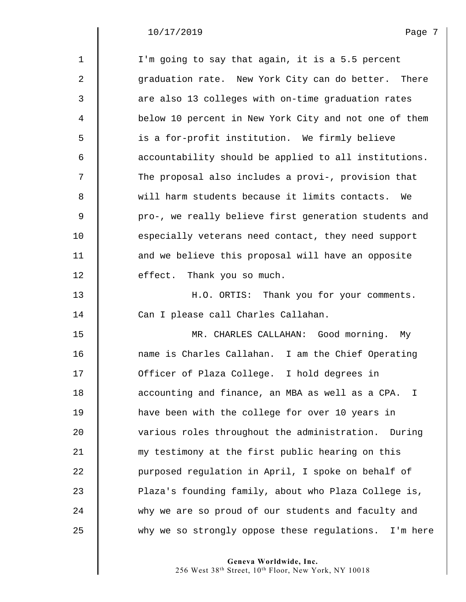$\mathsf I$ 

| $\mathbf 1$  | I'm going to say that again, it is a 5.5 percent       |
|--------------|--------------------------------------------------------|
| $\mathbf{2}$ | graduation rate. New York City can do better. There    |
| 3            | are also 13 colleges with on-time graduation rates     |
| 4            | below 10 percent in New York City and not one of them  |
| 5            | is a for-profit institution. We firmly believe         |
| 6            | accountability should be applied to all institutions.  |
| 7            | The proposal also includes a provi-, provision that    |
| 8            | will harm students because it limits contacts.<br>We   |
| $\mathsf 9$  | pro-, we really believe first generation students and  |
| 10           | especially veterans need contact, they need support    |
| 11           | and we believe this proposal will have an opposite     |
| 12           | effect. Thank you so much.                             |
| 13           | H.O. ORTIS: Thank you for your comments.               |
| 14           | Can I please call Charles Callahan.                    |
| 15           | MR. CHARLES CALLAHAN: Good morning. My                 |
| 16           | name is Charles Callahan. I am the Chief Operating     |
| 17           | Officer of Plaza College. I hold degrees in            |
| 18           | accounting and finance, an MBA as well as a CPA.       |
| 19           | have been with the college for over 10 years in        |
| 20           | various roles throughout the administration.<br>During |
| 21           | my testimony at the first public hearing on this       |
| 22           | purposed regulation in April, I spoke on behalf of     |
| 23           | Plaza's founding family, about who Plaza College is,   |
| 24           | why we are so proud of our students and faculty and    |
| 25           | why we so strongly oppose these regulations. I'm here  |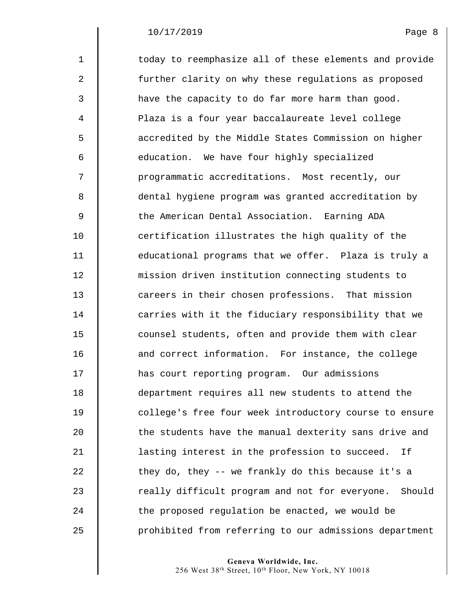$\mathsf I$ 

| $\mathbf{1}$ | today to reemphasize all of these elements and provide   |
|--------------|----------------------------------------------------------|
| 2            | further clarity on why these regulations as proposed     |
| 3            | have the capacity to do far more harm than good.         |
| 4            | Plaza is a four year baccalaureate level college         |
| 5            | accredited by the Middle States Commission on higher     |
| 6            | education. We have four highly specialized               |
| 7            | programmatic accreditations. Most recently, our          |
| 8            | dental hygiene program was granted accreditation by      |
| 9            | the American Dental Association. Earning ADA             |
| 10           | certification illustrates the high quality of the        |
| 11           | educational programs that we offer. Plaza is truly a     |
| 12           | mission driven institution connecting students to        |
| 13           | careers in their chosen professions. That mission        |
| 14           | carries with it the fiduciary responsibility that we     |
| 15           | counsel students, often and provide them with clear      |
| 16           | and correct information. For instance, the college       |
| 17           | has court reporting program. Our admissions              |
| 18           | department requires all new students to attend the       |
| 19           | college's free four week introductory course to ensure   |
| 20           | the students have the manual dexterity sans drive and    |
| 21           | lasting interest in the profession to succeed.<br>Ιf     |
| 22           | they do, they -- we frankly do this because it's a       |
| 23           | really difficult program and not for everyone.<br>Should |
| 24           | the proposed regulation be enacted, we would be          |
| 25           | prohibited from referring to our admissions department   |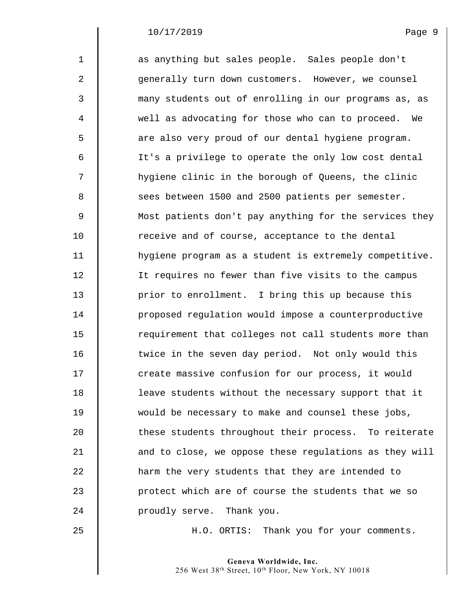| $\mathbf{1}$   | as anything but sales people. Sales people don't       |
|----------------|--------------------------------------------------------|
| $\overline{a}$ | generally turn down customers. However, we counsel     |
| 3              | many students out of enrolling in our programs as, as  |
| 4              | well as advocating for those who can to proceed. We    |
| 5              | are also very proud of our dental hygiene program.     |
| 6              | It's a privilege to operate the only low cost dental   |
| 7              | hygiene clinic in the borough of Queens, the clinic    |
| 8              | sees between 1500 and 2500 patients per semester.      |
| $\mathsf 9$    | Most patients don't pay anything for the services they |
| 10             | receive and of course, acceptance to the dental        |
| 11             | hygiene program as a student is extremely competitive. |
| 12             | It requires no fewer than five visits to the campus    |
| 13             | prior to enrollment. I bring this up because this      |
| 14             | proposed regulation would impose a counterproductive   |
| 15             | requirement that colleges not call students more than  |
| 16             | twice in the seven day period. Not only would this     |
| 17             | create massive confusion for our process, it would     |
| 18             | leave students without the necessary support that it   |
| 19             | would be necessary to make and counsel these jobs,     |
| 20             | these students throughout their process. To reiterate  |
| 21             | and to close, we oppose these regulations as they will |
| 22             | harm the very students that they are intended to       |
| 23             | protect which are of course the students that we so    |
| 24             | proudly serve. Thank you.                              |
|                |                                                        |

25 | H.O. ORTIS: Thank you for your comments.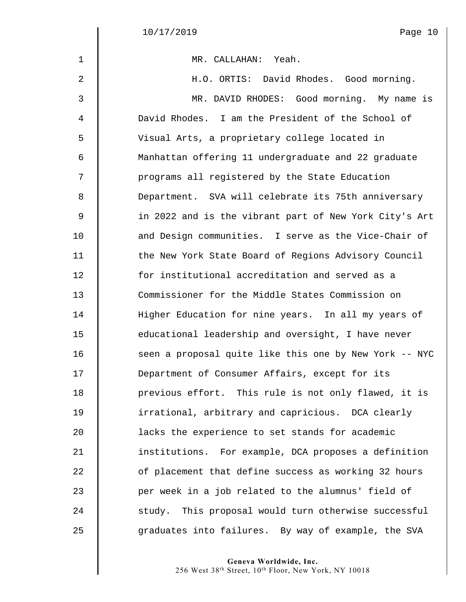$\Big\|$  $\parallel$ 

| $\mathbf 1$    | MR. CALLAHAN: Yeah.                                    |
|----------------|--------------------------------------------------------|
| 2              | H.O. ORTIS: David Rhodes. Good morning.                |
| 3              | MR. DAVID RHODES: Good morning. My name is             |
| 4              | David Rhodes. I am the President of the School of      |
| 5              | Visual Arts, a proprietary college located in          |
| 6              | Manhattan offering 11 undergraduate and 22 graduate    |
| 7              | programs all registered by the State Education         |
| 8              | Department. SVA will celebrate its 75th anniversary    |
| $\overline{9}$ | in 2022 and is the vibrant part of New York City's Art |
| 10             | and Design communities. I serve as the Vice-Chair of   |
| 11             | the New York State Board of Regions Advisory Council   |
| 12             | for institutional accreditation and served as a        |
| 13             | Commissioner for the Middle States Commission on       |
| 14             | Higher Education for nine years. In all my years of    |
| 15             | educational leadership and oversight, I have never     |
| 16             | seen a proposal quite like this one by New York -- NYC |
| 17             | Department of Consumer Affairs, except for its         |
| 18             | previous effort. This rule is not only flawed, it is   |
| 19             | irrational, arbitrary and capricious. DCA clearly      |
| 20             | lacks the experience to set stands for academic        |
| 21             | institutions. For example, DCA proposes a definition   |
| 22             | of placement that define success as working 32 hours   |
| 23             | per week in a job related to the alumnus' field of     |
| 24             | study. This proposal would turn otherwise successful   |
| 25             | graduates into failures. By way of example, the SVA    |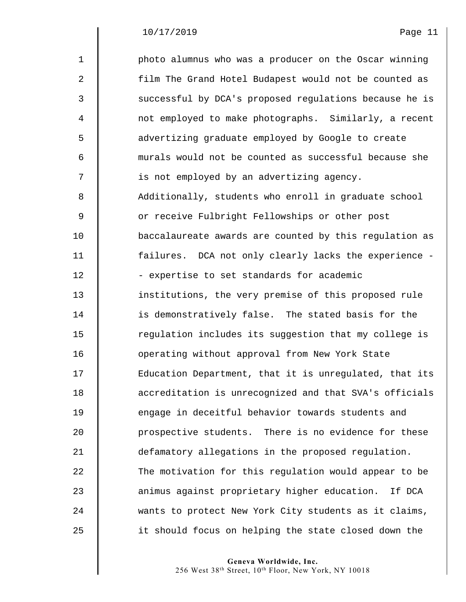$\mathsf I$ 

| $\mathbf{1}$   | photo alumnus who was a producer on the Oscar winning  |
|----------------|--------------------------------------------------------|
| 2              | film The Grand Hotel Budapest would not be counted as  |
| 3              | successful by DCA's proposed regulations because he is |
| $\overline{4}$ | not employed to make photographs. Similarly, a recent  |
| 5              | advertizing graduate employed by Google to create      |
| 6              | murals would not be counted as successful because she  |
| 7              | is not employed by an advertizing agency.              |
| 8              | Additionally, students who enroll in graduate school   |
| 9              | or receive Fulbright Fellowships or other post         |
| 10             | baccalaureate awards are counted by this regulation as |
| 11             | failures. DCA not only clearly lacks the experience -  |
| 12             | - expertise to set standards for academic              |
| 13             | institutions, the very premise of this proposed rule   |
| 14             | is demonstratively false. The stated basis for the     |
| 15             | regulation includes its suggestion that my college is  |
| 16             | operating without approval from New York State         |
| 17             | Education Department, that it is unregulated, that its |
| 18             | accreditation is unrecognized and that SVA's officials |
| 19             | engage in deceitful behavior towards students and      |
| 20             | prospective students. There is no evidence for these   |
| 21             | defamatory allegations in the proposed regulation.     |
| 22             | The motivation for this regulation would appear to be  |
| 23             | animus against proprietary higher education. If DCA    |
| 24             | wants to protect New York City students as it claims,  |
| 25             | it should focus on helping the state closed down the   |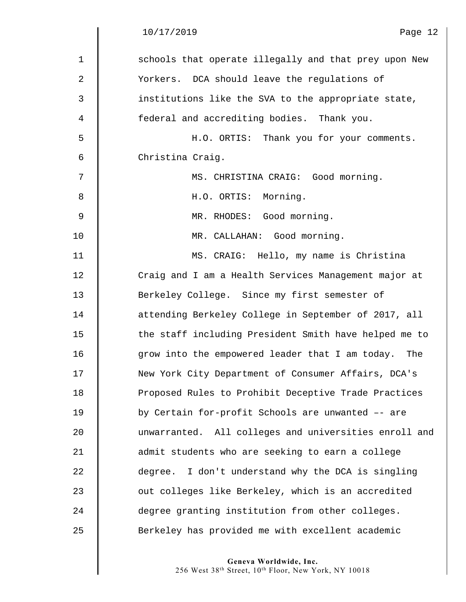|              | 10/17/2019<br>Page 12                                  |
|--------------|--------------------------------------------------------|
| $\mathbf{1}$ | schools that operate illegally and that prey upon New  |
| 2            | Yorkers. DCA should leave the regulations of           |
| 3            | institutions like the SVA to the appropriate state,    |
| 4            | federal and accrediting bodies. Thank you.             |
| 5            | H.O. ORTIS: Thank you for your comments.               |
| 6            | Christina Craig.                                       |
| 7            | MS. CHRISTINA CRAIG: Good morning.                     |
| 8            | H.O. ORTIS: Morning.                                   |
| $\mathsf 9$  | MR. RHODES: Good morning.                              |
| 10           | MR. CALLAHAN: Good morning.                            |
| 11           | MS. CRAIG: Hello, my name is Christina                 |
| 12           | Craig and I am a Health Services Management major at   |
| 13           | Berkeley College. Since my first semester of           |
| 14           | attending Berkeley College in September of 2017, all   |
| 15           | the staff including President Smith have helped me to  |
| 16           | grow into the empowered leader that I am today.<br>The |
| 17           | New York City Department of Consumer Affairs, DCA's    |
| 18           | Proposed Rules to Prohibit Deceptive Trade Practices   |
| 19           | by Certain for-profit Schools are unwanted -- are      |
| 20           | unwarranted. All colleges and universities enroll and  |
| 21           | admit students who are seeking to earn a college       |
| 22           | degree. I don't understand why the DCA is singling     |
| 23           | out colleges like Berkeley, which is an accredited     |
| 24           | degree granting institution from other colleges.       |
| 25           | Berkeley has provided me with excellent academic       |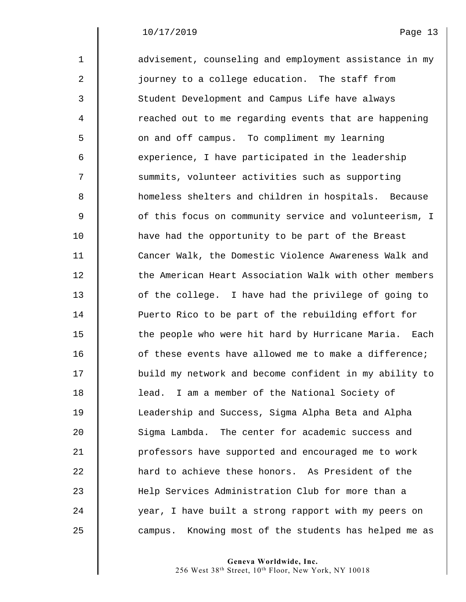| $\mathbf{1}$   | advisement, counseling and employment assistance in my   |
|----------------|----------------------------------------------------------|
| $\overline{a}$ | journey to a college education. The staff from           |
| 3              | Student Development and Campus Life have always          |
| $\overline{4}$ | reached out to me regarding events that are happening    |
| 5              | on and off campus. To compliment my learning             |
| 6              | experience, I have participated in the leadership        |
| 7              | summits, volunteer activities such as supporting         |
| 8              | homeless shelters and children in hospitals. Because     |
| $\mathsf 9$    | of this focus on community service and volunteerism, I   |
| 10             | have had the opportunity to be part of the Breast        |
| 11             | Cancer Walk, the Domestic Violence Awareness Walk and    |
| 12             | the American Heart Association Walk with other members   |
| 13             | of the college. I have had the privilege of going to     |
| 14             | Puerto Rico to be part of the rebuilding effort for      |
| 15             | the people who were hit hard by Hurricane Maria. Each    |
| 16             | of these events have allowed me to make a difference;    |
| 17             | build my network and become confident in my ability to   |
| 18             | lead. I am a member of the National Society of           |
| 19             | Leadership and Success, Sigma Alpha Beta and Alpha       |
| 20             | Sigma Lambda. The center for academic success and        |
| 21             | professors have supported and encouraged me to work      |
| 22             | hard to achieve these honors. As President of the        |
| 23             | Help Services Administration Club for more than a        |
| 24             | year, I have built a strong rapport with my peers on     |
| 25             | Knowing most of the students has helped me as<br>campus. |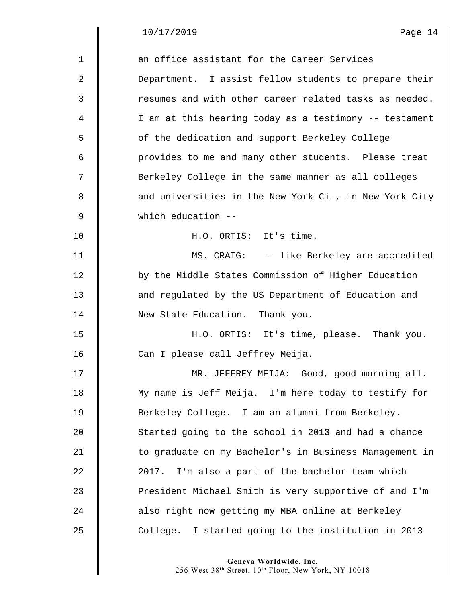$\begin{array}{c} \hline \end{array}$ 

| an office assistant for the Career Services            |
|--------------------------------------------------------|
| Department. I assist fellow students to prepare their  |
| resumes and with other career related tasks as needed. |
| I am at this hearing today as a testimony -- testament |
| of the dedication and support Berkeley College         |
| provides to me and many other students. Please treat   |
| Berkeley College in the same manner as all colleges    |
| and universities in the New York Ci-, in New York City |
| which education --                                     |
| H.O. ORTIS: It's time.                                 |
| MS. CRAIG: -- like Berkeley are accredited             |
| by the Middle States Commission of Higher Education    |
| and regulated by the US Department of Education and    |
| New State Education. Thank you.                        |
| H.O. ORTIS: It's time, please. Thank you.              |
| Can I please call Jeffrey Meija.                       |
| MR. JEFFREY MEIJA: Good, good morning all.             |
| My name is Jeff Meija. I'm here today to testify for   |
| Berkeley College. I am an alumni from Berkeley.        |
| Started going to the school in 2013 and had a chance   |
| to graduate on my Bachelor's in Business Management in |
| 2017. I'm also a part of the bachelor team which       |
| President Michael Smith is very supportive of and I'm  |
| also right now getting my MBA online at Berkeley       |
| College. I started going to the institution in 2013    |
|                                                        |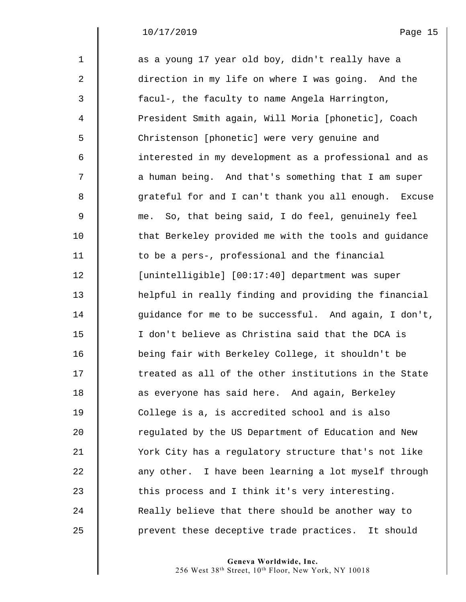| $\mathbf{1}$ | as a young 17 year old boy, didn't really have a      |
|--------------|-------------------------------------------------------|
| 2            | direction in my life on where I was going. And the    |
| 3            | facul-, the faculty to name Angela Harrington,        |
| 4            | President Smith again, Will Moria [phonetic], Coach   |
| 5            | Christenson [phonetic] were very genuine and          |
| 6            | interested in my development as a professional and as |
| 7            | a human being. And that's something that I am super   |
| 8            | grateful for and I can't thank you all enough. Excuse |
| 9            | me. So, that being said, I do feel, genuinely feel    |
| 10           | that Berkeley provided me with the tools and guidance |
| 11           | to be a pers-, professional and the financial         |
| 12           | [unintelligible] [00:17:40] department was super      |
| 13           | helpful in really finding and providing the financial |
| 14           | guidance for me to be successful. And again, I don't, |
| 15           | I don't believe as Christina said that the DCA is     |
| 16           | being fair with Berkeley College, it shouldn't be     |
| 17           | treated as all of the other institutions in the State |
| 18           | as everyone has said here. And again, Berkeley        |
| 19           | College is a, is accredited school and is also        |
| 20           | regulated by the US Department of Education and New   |
| 21           | York City has a regulatory structure that's not like  |
| 22           | any other. I have been learning a lot myself through  |
| 23           | this process and I think it's very interesting.       |
| 24           | Really believe that there should be another way to    |
| 25           | prevent these deceptive trade practices. It should    |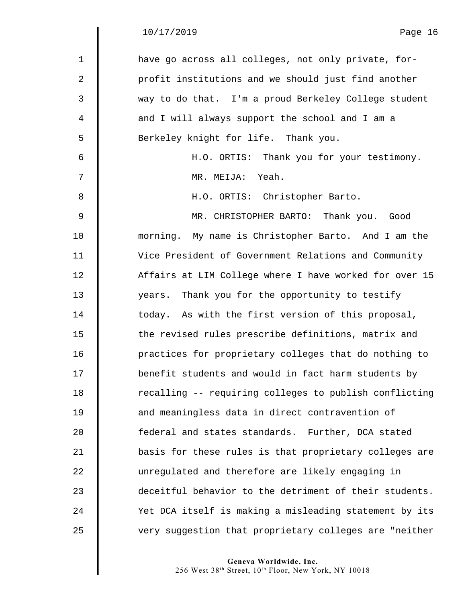$\begin{array}{c} \hline \end{array}$ 

| $\mathbf{1}$ | have go across all colleges, not only private, for-    |
|--------------|--------------------------------------------------------|
| 2            | profit institutions and we should just find another    |
| 3            | way to do that. I'm a proud Berkeley College student   |
| 4            | and I will always support the school and I am a        |
| 5            | Berkeley knight for life. Thank you.                   |
| 6            | H.O. ORTIS: Thank you for your testimony.              |
| 7            | MR. MEIJA: Yeah.                                       |
| 8            | H.O. ORTIS: Christopher Barto.                         |
| $\mathsf 9$  | MR. CHRISTOPHER BARTO: Thank you. Good                 |
| 10           | morning. My name is Christopher Barto. And I am the    |
| 11           | Vice President of Government Relations and Community   |
| 12           | Affairs at LIM College where I have worked for over 15 |
| 13           | years. Thank you for the opportunity to testify        |
| 14           | today. As with the first version of this proposal,     |
| 15           | the revised rules prescribe definitions, matrix and    |
| 16           | practices for proprietary colleges that do nothing to  |
| 17           | benefit students and would in fact harm students by    |
| 18           | recalling -- requiring colleges to publish conflicting |
| 19           | and meaningless data in direct contravention of        |
| 20           | federal and states standards. Further, DCA stated      |
| 21           | basis for these rules is that proprietary colleges are |
| 22           | unregulated and therefore are likely engaging in       |
| 23           | deceitful behavior to the detriment of their students. |
| 24           | Yet DCA itself is making a misleading statement by its |
| 25           | very suggestion that proprietary colleges are "neither |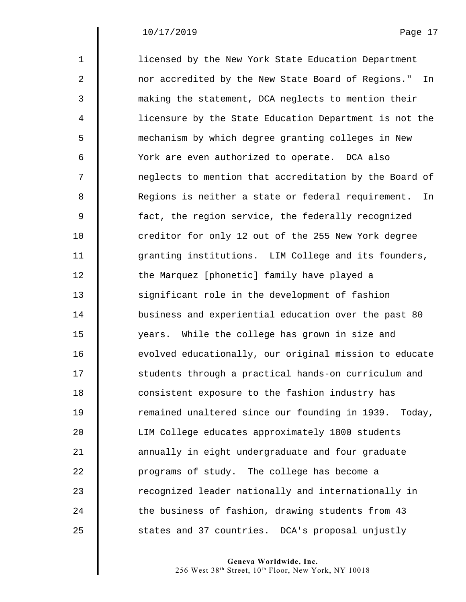| $\mathbf{1}$ | licensed by the New York State Education Department      |
|--------------|----------------------------------------------------------|
| 2            | nor accredited by the New State Board of Regions."<br>In |
| 3            | making the statement, DCA neglects to mention their      |
| 4            | licensure by the State Education Department is not the   |
| 5            | mechanism by which degree granting colleges in New       |
| 6            | York are even authorized to operate. DCA also            |
| 7            | neglects to mention that accreditation by the Board of   |
| 8            | Regions is neither a state or federal requirement.<br>In |
| 9            | fact, the region service, the federally recognized       |
| 10           | creditor for only 12 out of the 255 New York degree      |
| 11           | granting institutions. LIM College and its founders,     |
| 12           | the Marquez [phonetic] family have played a              |
| 13           | significant role in the development of fashion           |
| 14           | business and experiential education over the past 80     |
| 15           | years. While the college has grown in size and           |
| 16           | evolved educationally, our original mission to educate   |
| 17           | students through a practical hands-on curriculum and     |
| 18           | consistent exposure to the fashion industry has          |
| 19           | remained unaltered since our founding in 1939. Today,    |
| 20           | LIM College educates approximately 1800 students         |
| 21           | annually in eight undergraduate and four graduate        |
| 22           | programs of study. The college has become a              |
| 23           | recognized leader nationally and internationally in      |
| 24           | the business of fashion, drawing students from 43        |
| 25           | states and 37 countries. DCA's proposal unjustly         |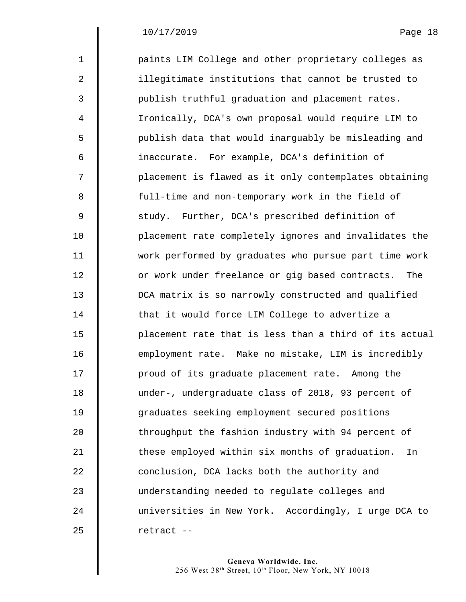| $\mathbf 1$    | paints LIM College and other proprietary colleges as   |
|----------------|--------------------------------------------------------|
| 2              | illegitimate institutions that cannot be trusted to    |
| 3              | publish truthful graduation and placement rates.       |
| $\overline{4}$ | Ironically, DCA's own proposal would require LIM to    |
| 5              | publish data that would inarguably be misleading and   |
| 6              | inaccurate. For example, DCA's definition of           |
| 7              | placement is flawed as it only contemplates obtaining  |
| 8              | full-time and non-temporary work in the field of       |
| 9              | study. Further, DCA's prescribed definition of         |
| 10             | placement rate completely ignores and invalidates the  |
| 11             | work performed by graduates who pursue part time work  |
| 12             | or work under freelance or gig based contracts. The    |
| 13             | DCA matrix is so narrowly constructed and qualified    |
| 14             | that it would force LIM College to advertize a         |
| 15             | placement rate that is less than a third of its actual |
| 16             | employment rate. Make no mistake, LIM is incredibly    |
| 17             | proud of its graduate placement rate. Among the        |
| 18             | under-, undergraduate class of 2018, 93 percent of     |
| 19             | graduates seeking employment secured positions         |
| 20             | throughput the fashion industry with 94 percent of     |
| 21             | these employed within six months of graduation.<br>In  |
| 22             | conclusion, DCA lacks both the authority and           |
| 23             | understanding needed to regulate colleges and          |
| 24             | universities in New York. Accordingly, I urge DCA to   |
| 25             | retract --                                             |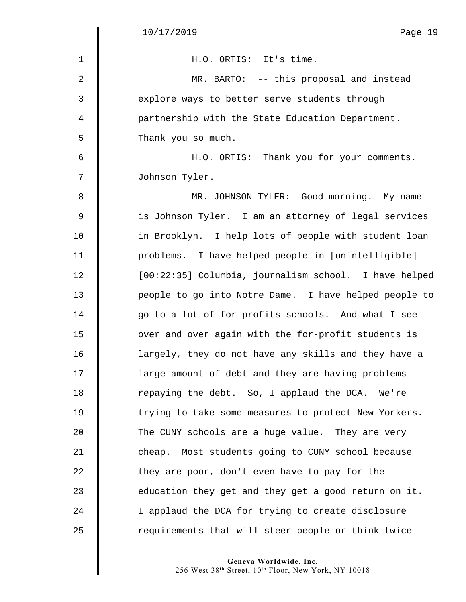$\begin{array}{c} \hline \end{array}$ 

| $\mathbf{1}$   | H.O. ORTIS: It's time.                                |
|----------------|-------------------------------------------------------|
| 2              | MR. BARTO: -- this proposal and instead               |
| 3              | explore ways to better serve students through         |
| $\overline{4}$ | partnership with the State Education Department.      |
| 5              | Thank you so much.                                    |
| 6              | H.O. ORTIS: Thank you for your comments.              |
| 7              | Johnson Tyler.                                        |
| 8              | MR. JOHNSON TYLER: Good morning. My name              |
| 9              | is Johnson Tyler. I am an attorney of legal services  |
| 10             | in Brooklyn. I help lots of people with student loan  |
| 11             | problems. I have helped people in [unintelligible]    |
| 12             | [00:22:35] Columbia, journalism school. I have helped |
| 13             | people to go into Notre Dame. I have helped people to |
| 14             | go to a lot of for-profits schools. And what I see    |
| 15             | over and over again with the for-profit students is   |
| 16             | largely, they do not have any skills and they have a  |
| 17             | large amount of debt and they are having problems     |
| 18             | repaying the debt. So, I applaud the DCA. We're       |
| 19             | trying to take some measures to protect New Yorkers.  |
| 20             | The CUNY schools are a huge value. They are very      |
| 21             | cheap. Most students going to CUNY school because     |
| 22             | they are poor, don't even have to pay for the         |
| 23             | education they get and they get a good return on it.  |
| 24             | I applaud the DCA for trying to create disclosure     |
| 25             | requirements that will steer people or think twice    |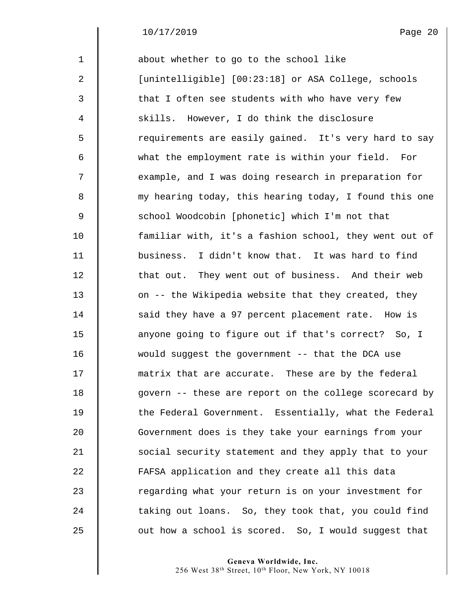1 **d** about whether to go to the school like 2 | [unintelligible] [00:23:18] or ASA College, schools 3 || that I often see students with who have very few 4 Skills. However, I do think the disclosure 5 || requirements are easily gained. It's very hard to say 6 what the employment rate is within your field. For 7  $\parallel$  example, and I was doing research in preparation for 8 my hearing today, this hearing today, I found this one 9 School Woodcobin [phonetic] which I'm not that 10 familiar with, it's a fashion school, they went out of 11 business. I didn't know that. It was hard to find 12 | that out. They went out of business. And their web 13 | on -- the Wikipedia website that they created, they 14 Said they have a 97 percent placement rate. How is 15 | anyone going to figure out if that's correct? So, I 16 would suggest the government -- that the DCA use 17  $\parallel$  matrix that are accurate. These are by the federal 18  $\parallel$  govern -- these are report on the college scorecard by 19 The Federal Government. Essentially, what the Federal 20 Government does is they take your earnings from your 21 | social security statement and they apply that to your 22 | FAFSA application and they create all this data 23 The regarding what your return is on your investment for 24 The taking out loans. So, they took that, you could find  $25$   $\parallel$  out how a school is scored. So, I would suggest that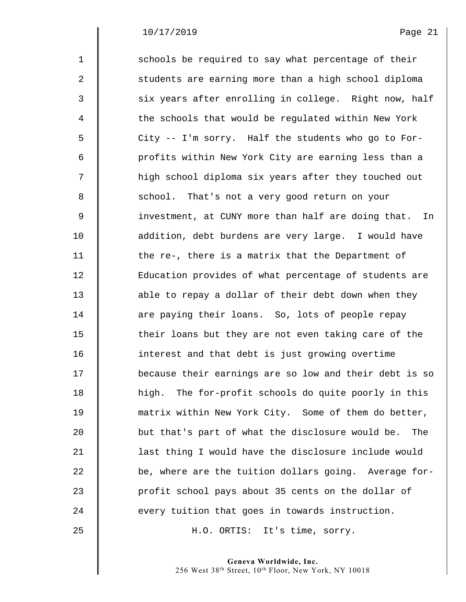$\mathsf I$ 

| $\mathbf{1}$   | schools be required to say what percentage of their      |
|----------------|----------------------------------------------------------|
|                |                                                          |
| 2              | students are earning more than a high school diploma     |
| 3              | six years after enrolling in college. Right now, half    |
| $\overline{4}$ | the schools that would be regulated within New York      |
| 5              | City -- I'm sorry. Half the students who go to For-      |
| 6              | profits within New York City are earning less than a     |
| 7              | high school diploma six years after they touched out     |
| 8              | school. That's not a very good return on your            |
| $\overline{9}$ | investment, at CUNY more than half are doing that.<br>In |
| 10             | addition, debt burdens are very large. I would have      |
| 11             | the re-, there is a matrix that the Department of        |
| 12             | Education provides of what percentage of students are    |
| 13             | able to repay a dollar of their debt down when they      |
| 14             | are paying their loans. So, lots of people repay         |
| 15             | their loans but they are not even taking care of the     |
| 16             | interest and that debt is just growing overtime          |
| 17             | because their earnings are so low and their debt is so   |
| 18             | high. The for-profit schools do quite poorly in this     |
| 19             | matrix within New York City. Some of them do better,     |
| 20             | but that's part of what the disclosure would be.<br>The  |
| 21             | last thing I would have the disclosure include would     |
| 22             | be, where are the tuition dollars going. Average for-    |
| 23             | profit school pays about 35 cents on the dollar of       |
| 24             | every tuition that goes in towards instruction.          |
| 25             | H.O. ORTIS: It's time, sorry.                            |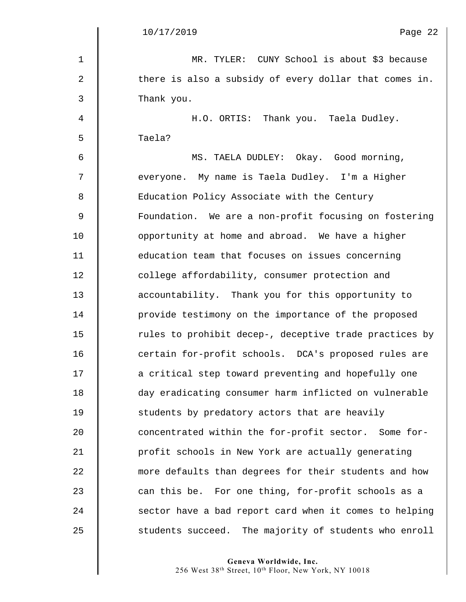$\parallel$ 

| $\mathbf 1$ | MR. TYLER: CUNY School is about \$3 because              |
|-------------|----------------------------------------------------------|
| 2           | there is also a subsidy of every dollar that comes in.   |
| 3           | Thank you.                                               |
| 4           | H.O. ORTIS: Thank you. Taela Dudley.                     |
| 5           | Taela?                                                   |
| 6           | MS. TAELA DUDLEY: Okay. Good morning,                    |
| 7           | everyone. My name is Taela Dudley. I'm a Higher          |
| 8           | Education Policy Associate with the Century              |
| $\mathsf 9$ | Foundation. We are a non-profit focusing on fostering    |
| 10          | opportunity at home and abroad. We have a higher         |
| 11          | education team that focuses on issues concerning         |
| 12          | college affordability, consumer protection and           |
| 13          | accountability. Thank you for this opportunity to        |
| 14          | provide testimony on the importance of the proposed      |
| 15          | rules to prohibit decep-, deceptive trade practices by   |
| 16          | certain for-profit schools. DCA's proposed rules are     |
| 17          | a critical step toward preventing and hopefully one      |
| 18          | day eradicating consumer harm inflicted on vulnerable    |
| 19          | students by predatory actors that are heavily            |
| 20          | concentrated within the for-profit sector. Some for-     |
| 21          | profit schools in New York are actually generating       |
| 22          | more defaults than degrees for their students and how    |
| 23          | can this be. For one thing, for-profit schools as a      |
| 24          | sector have a bad report card when it comes to helping   |
| 25          | students succeed.<br>The majority of students who enroll |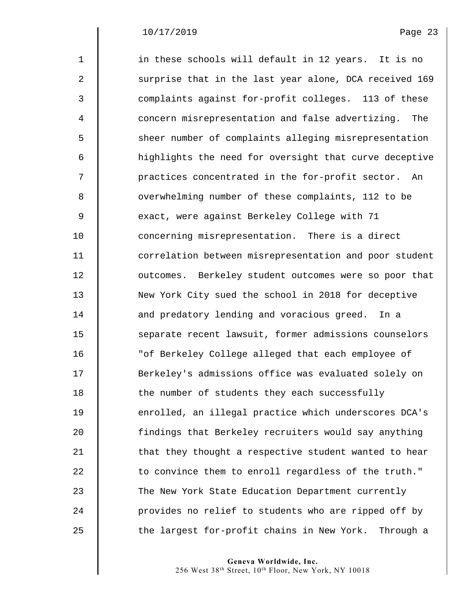| $\mathbf{1}$   | in these schools will default in 12 years. It is no     |
|----------------|---------------------------------------------------------|
| $\overline{a}$ | surprise that in the last year alone, DCA received 169  |
| 3              | complaints against for-profit colleges. 113 of these    |
| 4              | concern misrepresentation and false advertizing.<br>The |
| 5              | sheer number of complaints alleging misrepresentation   |
| 6              | highlights the need for oversight that curve deceptive  |
| 7              | practices concentrated in the for-profit sector. An     |
| 8              | overwhelming number of these complaints, 112 to be      |
| 9              | exact, were against Berkeley College with 71            |
| 10             | concerning misrepresentation. There is a direct         |
| 11             | correlation between misrepresentation and poor student  |
| 12             | outcomes. Berkeley student outcomes were so poor that   |
| 13             | New York City sued the school in 2018 for deceptive     |
| 14             | and predatory lending and voracious greed. In a         |
| 15             | separate recent lawsuit, former admissions counselors   |
| 16             | "of Berkeley College alleged that each employee of      |
| 17             | Berkeley's admissions office was evaluated solely on    |
| 18             | the number of students they each successfully           |
| 19             | enrolled, an illegal practice which underscores DCA's   |
| 20             | findings that Berkeley recruiters would say anything    |
| 21             | that they thought a respective student wanted to hear   |
| 22             | to convince them to enroll regardless of the truth."    |
| 23             | The New York State Education Department currently       |
| 24             | provides no relief to students who are ripped off by    |
| 25             | the largest for-profit chains in New York.<br>Through a |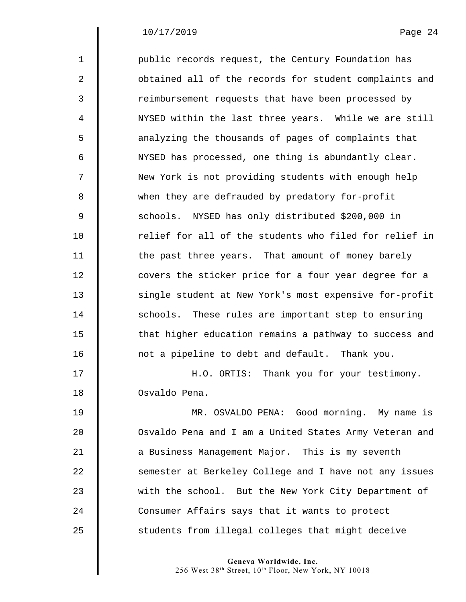$\parallel$ 

| $\mathbf{1}$ | public records request, the Century Foundation has     |
|--------------|--------------------------------------------------------|
| 2            | obtained all of the records for student complaints and |
| 3            | reimbursement requests that have been processed by     |
| 4            | NYSED within the last three years. While we are still  |
| 5            | analyzing the thousands of pages of complaints that    |
| 6            | NYSED has processed, one thing is abundantly clear.    |
| 7            | New York is not providing students with enough help    |
| 8            | when they are defrauded by predatory for-profit        |
| 9            | schools. NYSED has only distributed \$200,000 in       |
| 10           | relief for all of the students who filed for relief in |
| 11           | the past three years. That amount of money barely      |
| 12           | covers the sticker price for a four year degree for a  |
| 13           | single student at New York's most expensive for-profit |
| 14           | schools. These rules are important step to ensuring    |
| 15           | that higher education remains a pathway to success and |
| 16           | not a pipeline to debt and default. Thank you.         |
| 17           | H.O. ORTIS: Thank you for your testimony.              |
| 18           | Osvaldo Pena.                                          |
| 19           | MR. OSVALDO PENA: Good morning. My name is             |
| 20           | Osvaldo Pena and I am a United States Army Veteran and |
| 21           | a Business Management Major. This is my seventh        |
| 22           | semester at Berkeley College and I have not any issues |
| 23           | with the school. But the New York City Department of   |
| 24           | Consumer Affairs says that it wants to protect         |
| 25           | students from illegal colleges that might deceive      |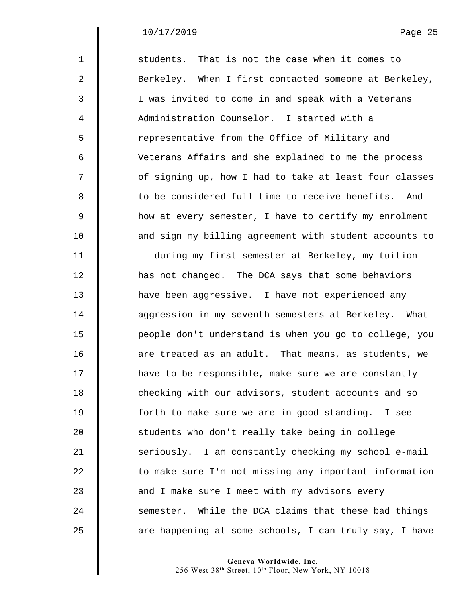| $\mathbf{1}$ | students. That is not the case when it comes to        |
|--------------|--------------------------------------------------------|
| 2            | Berkeley. When I first contacted someone at Berkeley,  |
| 3            | I was invited to come in and speak with a Veterans     |
| 4            | Administration Counselor. I started with a             |
| 5            | representative from the Office of Military and         |
| 6            | Veterans Affairs and she explained to me the process   |
| 7            | of signing up, how I had to take at least four classes |
| 8            | to be considered full time to receive benefits. And    |
| $\mathsf 9$  | how at every semester, I have to certify my enrolment  |
| 10           | and sign my billing agreement with student accounts to |
| 11           | -- during my first semester at Berkeley, my tuition    |
| 12           | has not changed. The DCA says that some behaviors      |
| 13           | have been aggressive. I have not experienced any       |
| 14           | aggression in my seventh semesters at Berkeley. What   |
| 15           | people don't understand is when you go to college, you |
| 16           | are treated as an adult. That means, as students, we   |
| 17           | have to be responsible, make sure we are constantly    |
| 18           | checking with our advisors, student accounts and so    |
| 19           | forth to make sure we are in good standing. I see      |
| 20           | students who don't really take being in college        |
| 21           | seriously. I am constantly checking my school e-mail   |
| 22           | to make sure I'm not missing any important information |
| 23           | and I make sure I meet with my advisors every          |
| 24           | semester. While the DCA claims that these bad things   |
| 25           | are happening at some schools, I can truly say, I have |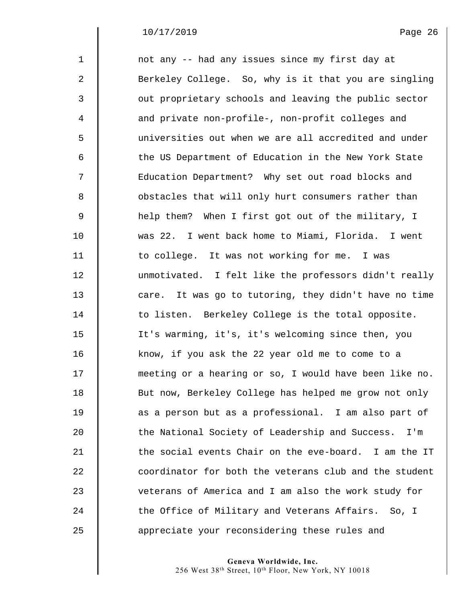| $\mathbf 1$ | not any -- had any issues since my first day at        |
|-------------|--------------------------------------------------------|
| 2           | Berkeley College. So, why is it that you are singling  |
| 3           | out proprietary schools and leaving the public sector  |
| 4           | and private non-profile-, non-profit colleges and      |
| 5           | universities out when we are all accredited and under  |
| 6           | the US Department of Education in the New York State   |
| 7           | Education Department? Why set out road blocks and      |
| 8           | obstacles that will only hurt consumers rather than    |
| $\mathsf 9$ | help them? When I first got out of the military, I     |
| 10          | was 22. I went back home to Miami, Florida. I went     |
| 11          | to college. It was not working for me. I was           |
| 12          | unmotivated. I felt like the professors didn't really  |
| 13          | care. It was go to tutoring, they didn't have no time  |
| 14          | to listen. Berkeley College is the total opposite.     |
| 15          | It's warming, it's, it's welcoming since then, you     |
| 16          | know, if you ask the 22 year old me to come to a       |
| 17          | meeting or a hearing or so, I would have been like no. |
| 18          | But now, Berkeley College has helped me grow not only  |
| 19          | as a person but as a professional. I am also part of   |
| 20          | the National Society of Leadership and Success.<br>I'm |
| 21          | the social events Chair on the eve-board. I am the IT  |
| 22          | coordinator for both the veterans club and the student |
| 23          | veterans of America and I am also the work study for   |
| 24          | the Office of Military and Veterans Affairs. So, I     |
| 25          | appreciate your reconsidering these rules and          |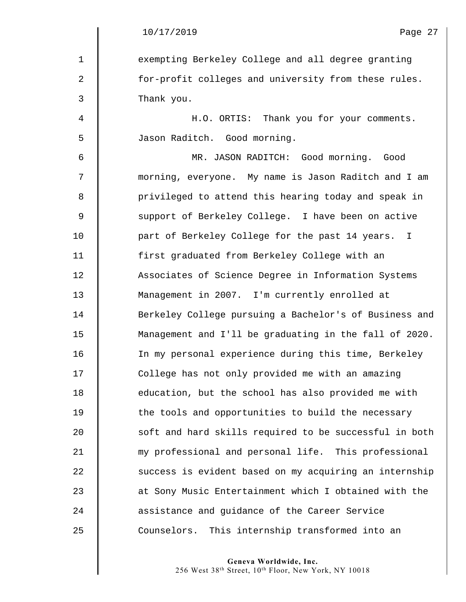1 **Exempting Berkeley College and all degree granting** 2 | for-profit colleges and university from these rules. 3 Thank you. 4 H.O. ORTIS: Thank you for your comments. 5 Jason Raditch. Good morning. 6 MR. JASON RADITCH: Good morning. Good 7 morning, everyone. My name is Jason Raditch and I am 8 || privileged to attend this hearing today and speak in 9 Support of Berkeley College. I have been on active 10 **part of Berkeley College for the past 14 years.** I 11 first graduated from Berkeley College with an 12 | Associates of Science Degree in Information Systems 13 Management in 2007. I'm currently enrolled at 14 Berkeley College pursuing a Bachelor's of Business and 15 Management and I'll be graduating in the fall of 2020. 16 In my personal experience during this time, Berkeley 17 | College has not only provided me with an amazing 18 **education, but the school has also provided me with** 19 The tools and opportunities to build the necessary 20 Soft and hard skills required to be successful in both 21 my professional and personal life. This professional 22 Success is evident based on my acquiring an internship 23 **decive 23** at Sony Music Entertainment which I obtained with the 24 **b** assistance and quidance of the Career Service 25 Counselors. This internship transformed into an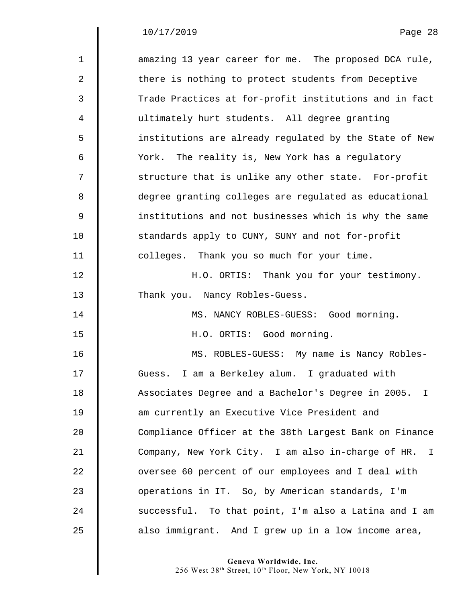$\Big\|$  $\parallel$ 

| $\mathbf{1}$   | amazing 13 year career for me. The proposed DCA rule,  |
|----------------|--------------------------------------------------------|
| $\mathbf{2}$   | there is nothing to protect students from Deceptive    |
| 3              | Trade Practices at for-profit institutions and in fact |
| 4              | ultimately hurt students. All degree granting          |
| 5              | institutions are already regulated by the State of New |
| 6              | York. The reality is, New York has a regulatory        |
| 7              | structure that is unlike any other state. For-profit   |
| 8              | degree granting colleges are regulated as educational  |
| $\overline{9}$ | institutions and not businesses which is why the same  |
| 10             | standards apply to CUNY, SUNY and not for-profit       |
| 11             | colleges. Thank you so much for your time.             |
| 12             | H.O. ORTIS: Thank you for your testimony.              |
| 13             | Thank you. Nancy Robles-Guess.                         |
| 14             | MS. NANCY ROBLES-GUESS: Good morning.                  |
| 15             | H.O. ORTIS: Good morning.                              |
| 16             | MS. ROBLES-GUESS: My name is Nancy Robles-             |
| 17             | Guess. I am a Berkeley alum. I graduated with          |
| 18             | Associates Degree and a Bachelor's Degree in 2005. I   |
| 19             | am currently an Executive Vice President and           |
| 20             | Compliance Officer at the 38th Largest Bank on Finance |
| 21             | Company, New York City. I am also in-charge of HR. I   |
| 22             | oversee 60 percent of our employees and I deal with    |
| 23             | operations in IT. So, by American standards, I'm       |
| 24             | successful. To that point, I'm also a Latina and I am  |
| 25             | also immigrant. And I grew up in a low income area,    |

**Geneva Worldwide, Inc.** 

256 West 38th Street, 10th Floor, New York, NY 10018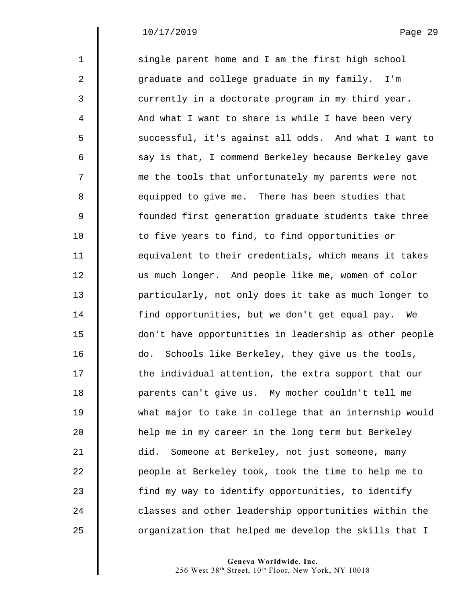$\mathsf I$ 

| $\mathbf{1}$ | single parent home and I am the first high school      |
|--------------|--------------------------------------------------------|
| 2            | graduate and college graduate in my family. I'm        |
| 3            | currently in a doctorate program in my third year.     |
| 4            | And what I want to share is while I have been very     |
| 5            | successful, it's against all odds. And what I want to  |
| 6            | say is that, I commend Berkeley because Berkeley gave  |
| 7            | me the tools that unfortunately my parents were not    |
| 8            | equipped to give me. There has been studies that       |
| 9            | founded first generation graduate students take three  |
| 10           | to five years to find, to find opportunities or        |
| 11           | equivalent to their credentials, which means it takes  |
| 12           | us much longer. And people like me, women of color     |
| 13           | particularly, not only does it take as much longer to  |
| 14           | find opportunities, but we don't get equal pay.<br>We  |
| 15           | don't have opportunities in leadership as other people |
| 16           | Schools like Berkeley, they give us the tools,<br>do.  |
| 17           | the individual attention, the extra support that our   |
| 18           | parents can't give us. My mother couldn't tell me      |
| 19           | what major to take in college that an internship would |
| 20           | help me in my career in the long term but Berkeley     |
| 21           | Someone at Berkeley, not just someone, many<br>did.    |
| 22           | people at Berkeley took, took the time to help me to   |
| 23           | find my way to identify opportunities, to identify     |
| 24           | classes and other leadership opportunities within the  |
| 25           | organization that helped me develop the skills that I  |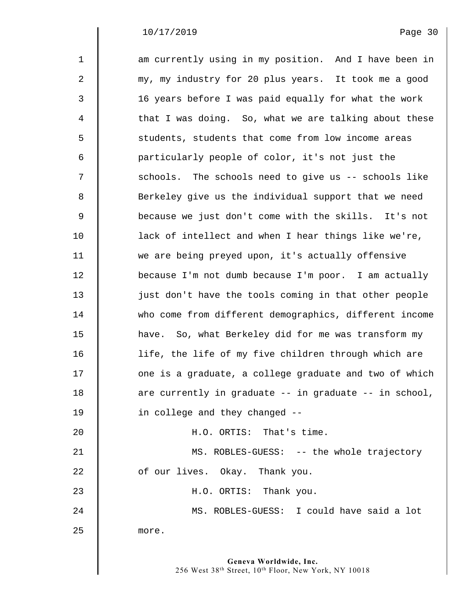$\mathsf I$ 

| $\mathbf{1}$ | am currently using in my position. And I have been in  |
|--------------|--------------------------------------------------------|
| 2            | my, my industry for 20 plus years. It took me a good   |
| 3            | 16 years before I was paid equally for what the work   |
| 4            | that I was doing. So, what we are talking about these  |
| 5            | students, students that come from low income areas     |
| 6            | particularly people of color, it's not just the        |
| 7            | schools. The schools need to give us -- schools like   |
| 8            | Berkeley give us the individual support that we need   |
| 9            | because we just don't come with the skills. It's not   |
| 10           | lack of intellect and when I hear things like we're,   |
| 11           | we are being preyed upon, it's actually offensive      |
| 12           | because I'm not dumb because I'm poor. I am actually   |
| 13           | just don't have the tools coming in that other people  |
| 14           | who come from different demographics, different income |
| 15           | have. So, what Berkeley did for me was transform my    |
| 16           | life, the life of my five children through which are   |
| 17           | one is a graduate, a college graduate and two of which |
| 18           | are currently in graduate -- in graduate -- in school, |
| 19           | in college and they changed --                         |
| 20           | H.O. ORTIS: That's time.                               |
| 21           | MS. ROBLES-GUESS: -- the whole trajectory              |
| 22           | of our lives. Okay. Thank you.                         |
| 23           | H.O. ORTIS: Thank you.                                 |
| 24           | MS. ROBLES-GUESS: I could have said a lot              |
| 25           | more.                                                  |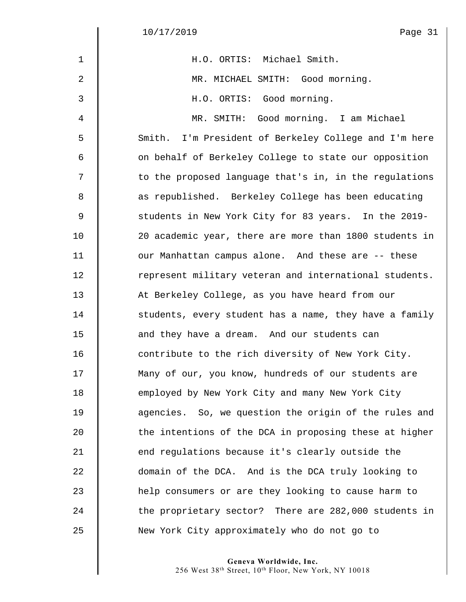$\begin{array}{c} \hline \end{array}$ 

| $\mathbf{1}$ | H.O. ORTIS: Michael Smith.                             |
|--------------|--------------------------------------------------------|
| 2            | MR. MICHAEL SMITH: Good morning.                       |
| 3            | H.O. ORTIS: Good morning.                              |
| 4            | MR. SMITH: Good morning. I am Michael                  |
| 5            | Smith. I'm President of Berkeley College and I'm here  |
| 6            | on behalf of Berkeley College to state our opposition  |
| 7            | to the proposed language that's in, in the regulations |
| 8            | as republished. Berkeley College has been educating    |
| 9            | students in New York City for 83 years. In the 2019-   |
| 10           | 20 academic year, there are more than 1800 students in |
| 11           | our Manhattan campus alone. And these are -- these     |
| 12           | represent military veteran and international students. |
| 13           | At Berkeley College, as you have heard from our        |
| 14           | students, every student has a name, they have a family |
| 15           | and they have a dream. And our students can            |
| 16           | contribute to the rich diversity of New York City.     |
| 17           | Many of our, you know, hundreds of our students are    |
| 18           | employed by New York City and many New York City       |
| 19           | agencies. So, we question the origin of the rules and  |
| 20           | the intentions of the DCA in proposing these at higher |
| 21           | end regulations because it's clearly outside the       |
| 22           | domain of the DCA. And is the DCA truly looking to     |
| 23           | help consumers or are they looking to cause harm to    |
| 24           | the proprietary sector? There are 282,000 students in  |
| 25           | New York City approximately who do not go to           |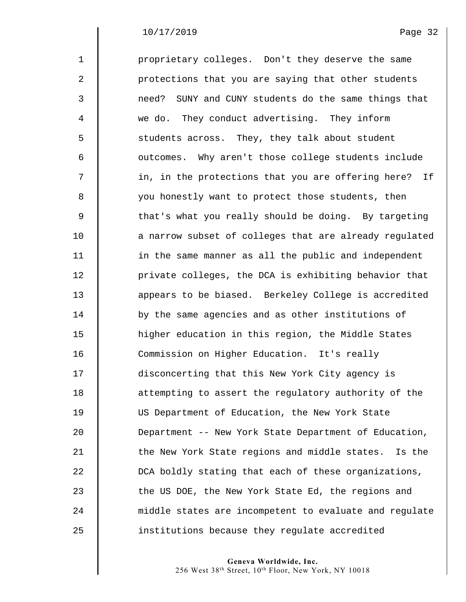| $\mathbf{1}$ | proprietary colleges. Don't they deserve the same       |
|--------------|---------------------------------------------------------|
| 2            | protections that you are saying that other students     |
| 3            | SUNY and CUNY students do the same things that<br>need? |
| 4            | we do. They conduct advertising. They inform            |
| 5            | students across. They, they talk about student          |
| 6            | outcomes. Why aren't those college students include     |
| 7            | in, in the protections that you are offering here? If   |
| 8            | you honestly want to protect those students, then       |
| 9            | that's what you really should be doing. By targeting    |
| 10           | a narrow subset of colleges that are already regulated  |
| 11           | in the same manner as all the public and independent    |
| 12           | private colleges, the DCA is exhibiting behavior that   |
| 13           | appears to be biased. Berkeley College is accredited    |
| 14           | by the same agencies and as other institutions of       |
| 15           | higher education in this region, the Middle States      |
| 16           | Commission on Higher Education. It's really             |
| 17           | disconcerting that this New York City agency is         |
| 18           | attempting to assert the regulatory authority of the    |
| 19           | US Department of Education, the New York State          |
| 20           | Department -- New York State Department of Education,   |
| 21           | the New York State regions and middle states. Is the    |
| 22           | DCA boldly stating that each of these organizations,    |
| 23           | the US DOE, the New York State Ed, the regions and      |
| 24           | middle states are incompetent to evaluate and regulate  |
| 25           | institutions because they regulate accredited           |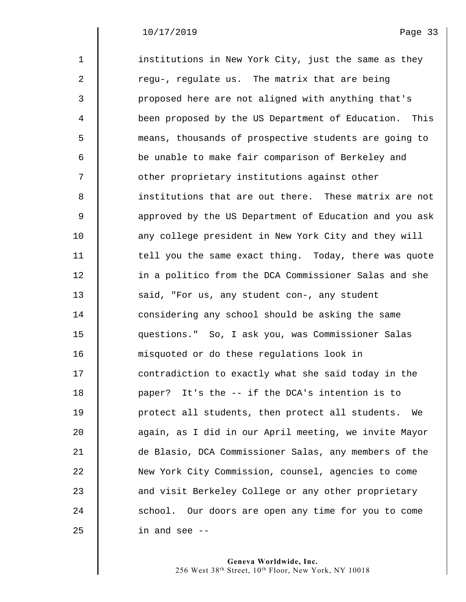| $\mathbf{1}$ | institutions in New York City, just the same as they   |
|--------------|--------------------------------------------------------|
| 2            | regu-, regulate us. The matrix that are being          |
| 3            | proposed here are not aligned with anything that's     |
| 4            | been proposed by the US Department of Education. This  |
| 5            | means, thousands of prospective students are going to  |
| 6            | be unable to make fair comparison of Berkeley and      |
| 7            | other proprietary institutions against other           |
| 8            | institutions that are out there. These matrix are not  |
| 9            | approved by the US Department of Education and you ask |
| 10           | any college president in New York City and they will   |
| 11           | tell you the same exact thing. Today, there was quote  |
| 12           | in a politico from the DCA Commissioner Salas and she  |
| 13           | said, "For us, any student con-, any student           |
| 14           | considering any school should be asking the same       |
| 15           | questions." So, I ask you, was Commissioner Salas      |
| 16           | misquoted or do these regulations look in              |
| 17           | contradiction to exactly what she said today in the    |
| 18           | paper? It's the -- if the DCA's intention is to        |
| 19           | protect all students, then protect all students.<br>We |
| 20           | again, as I did in our April meeting, we invite Mayor  |
| 21           | de Blasio, DCA Commissioner Salas, any members of the  |
| 22           | New York City Commission, counsel, agencies to come    |
| 23           | and visit Berkeley College or any other proprietary    |
| 24           | school. Our doors are open any time for you to come    |
| 25           | in and see --                                          |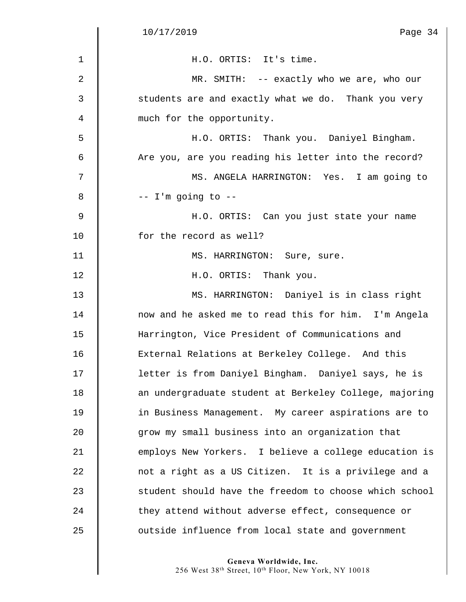$\parallel$ 

| $\mathbf{1}$ | H.O. ORTIS: It's time.                                 |
|--------------|--------------------------------------------------------|
| 2            | MR. SMITH: -- exactly who we are, who our              |
| 3            | students are and exactly what we do. Thank you very    |
| 4            | much for the opportunity.                              |
| 5            | H.O. ORTIS: Thank you. Daniyel Bingham.                |
| 6            | Are you, are you reading his letter into the record?   |
| 7            | MS. ANGELA HARRINGTON: Yes. I am going to              |
| 8            | $--$ I'm going to $--$                                 |
| $\mathsf 9$  | H.O. ORTIS: Can you just state your name               |
| 10           | for the record as well?                                |
| 11           | MS. HARRINGTON: Sure, sure.                            |
| 12           | H.O. ORTIS: Thank you.                                 |
| 13           | MS. HARRINGTON: Daniyel is in class right              |
| 14           | now and he asked me to read this for him. I'm Angela   |
| 15           | Harrington, Vice President of Communications and       |
| 16           | External Relations at Berkeley College. And this       |
| 17           | letter is from Daniyel Bingham. Daniyel says, he is    |
| 18           | an undergraduate student at Berkeley College, majoring |
| 19           | in Business Management. My career aspirations are to   |
| 20           | grow my small business into an organization that       |
| 21           | employs New Yorkers. I believe a college education is  |
| 22           | not a right as a US Citizen. It is a privilege and a   |
| 23           | student should have the freedom to choose which school |
| 24           | they attend without adverse effect, consequence or     |
| 25           | outside influence from local state and government      |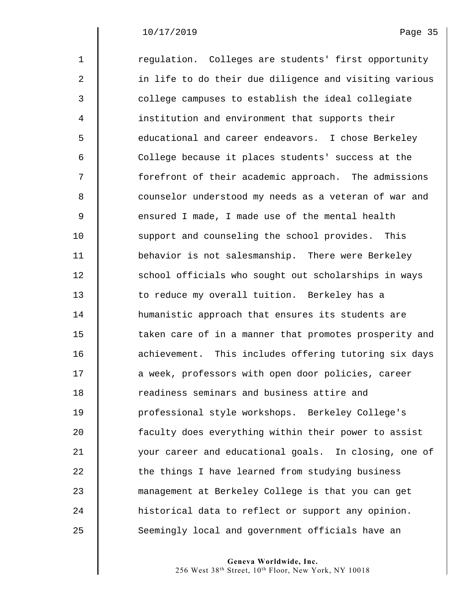1 Tegulation. Colleges are students' first opportunity 2 | in life to do their due diligence and visiting various 3  $\parallel$  college campuses to establish the ideal collegiate 4 institution and environment that supports their 5 Superstand and career endeavors. I chose Berkeley 6  $\parallel$  College because it places students' success at the 7  $\parallel$  forefront of their academic approach. The admissions 8 | counselor understood my needs as a veteran of war and 9  $\parallel$  ensured I made, I made use of the mental health 10 Support and counseling the school provides. This 11 behavior is not salesmanship. There were Berkeley 12 | school officials who sought out scholarships in ways 13 | to reduce my overall tuition. Berkeley has a 14 **Hemanistic approach that ensures its students are** 15  $\parallel$  taken care of in a manner that promotes prosperity and 16 **dec** achievement. This includes offering tutoring six days 17  $\parallel$  a week, professors with open door policies, career 18 **The Step S** readiness seminars and business attire and 19 professional style workshops. Berkeley College's 20 faculty does everything within their power to assist 21 your career and educational goals. In closing, one of 22 | the things I have learned from studying business 23 management at Berkeley College is that you can get 24 historical data to reflect or support any opinion. 25 Seemingly local and government officials have an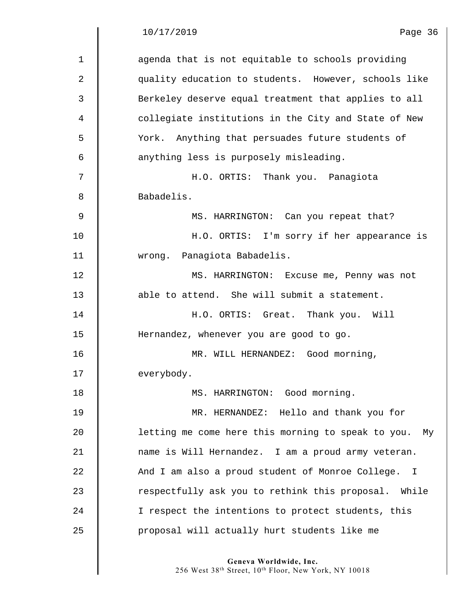| agenda that is not equitable to schools providing<br>quality education to students. However, schools like<br>Berkeley deserve equal treatment that applies to all<br>collegiate institutions in the City and State of New<br>York. Anything that persuades future students of<br>H.O. ORTIS: Thank you. Panagiota |
|-------------------------------------------------------------------------------------------------------------------------------------------------------------------------------------------------------------------------------------------------------------------------------------------------------------------|
|                                                                                                                                                                                                                                                                                                                   |
|                                                                                                                                                                                                                                                                                                                   |
|                                                                                                                                                                                                                                                                                                                   |
|                                                                                                                                                                                                                                                                                                                   |
|                                                                                                                                                                                                                                                                                                                   |
|                                                                                                                                                                                                                                                                                                                   |
|                                                                                                                                                                                                                                                                                                                   |
|                                                                                                                                                                                                                                                                                                                   |
| MS. HARRINGTON: Can you repeat that?                                                                                                                                                                                                                                                                              |
| H.O. ORTIS: I'm sorry if her appearance is                                                                                                                                                                                                                                                                        |
|                                                                                                                                                                                                                                                                                                                   |
| MS. HARRINGTON: Excuse me, Penny was not                                                                                                                                                                                                                                                                          |
| able to attend. She will submit a statement.                                                                                                                                                                                                                                                                      |
| H.O. ORTIS: Great. Thank you. Will                                                                                                                                                                                                                                                                                |
|                                                                                                                                                                                                                                                                                                                   |
| MR. WILL HERNANDEZ: Good morning,                                                                                                                                                                                                                                                                                 |
|                                                                                                                                                                                                                                                                                                                   |
|                                                                                                                                                                                                                                                                                                                   |
| MR. HERNANDEZ: Hello and thank you for                                                                                                                                                                                                                                                                            |
| letting me come here this morning to speak to you.<br>My                                                                                                                                                                                                                                                          |
| name is Will Hernandez. I am a proud army veteran.                                                                                                                                                                                                                                                                |
| And I am also a proud student of Monroe College. I                                                                                                                                                                                                                                                                |
| respectfully ask you to rethink this proposal. While                                                                                                                                                                                                                                                              |
|                                                                                                                                                                                                                                                                                                                   |
| I respect the intentions to protect students, this                                                                                                                                                                                                                                                                |
|                                                                                                                                                                                                                                                                                                                   |

**Geneva Worldwide, Inc.** 

256 West 38th Street, 10th Floor, New York, NY 10018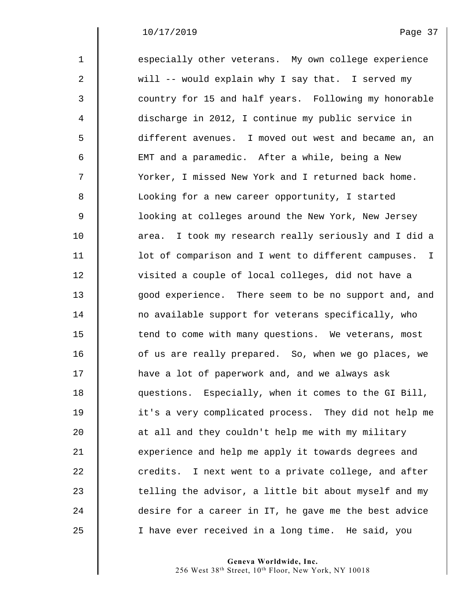| $\mathbf{1}$ | especially other veterans. My own college experience  |
|--------------|-------------------------------------------------------|
| 2            | will -- would explain why I say that. I served my     |
| 3            | country for 15 and half years. Following my honorable |
| 4            | discharge in 2012, I continue my public service in    |
| 5            | different avenues. I moved out west and became an, an |
| 6            | EMT and a paramedic. After a while, being a New       |
| 7            | Yorker, I missed New York and I returned back home.   |
| 8            | Looking for a new career opportunity, I started       |
| $\mathsf 9$  | looking at colleges around the New York, New Jersey   |
| 10           | area. I took my research really seriously and I did a |
| 11           | lot of comparison and I went to different campuses. I |
| 12           | visited a couple of local colleges, did not have a    |
| 13           | good experience. There seem to be no support and, and |
| 14           | no available support for veterans specifically, who   |
| 15           | tend to come with many questions. We veterans, most   |
| 16           | of us are really prepared. So, when we go places, we  |
| 17           | have a lot of paperwork and, and we always ask        |
| 18           | questions. Especially, when it comes to the GI Bill,  |
| 19           | it's a very complicated process. They did not help me |
| 20           | at all and they couldn't help me with my military     |
| 21           | experience and help me apply it towards degrees and   |
| 22           | credits. I next went to a private college, and after  |
| 23           | telling the advisor, a little bit about myself and my |
| 24           | desire for a career in IT, he gave me the best advice |
| 25           | I have ever received in a long time. He said, you     |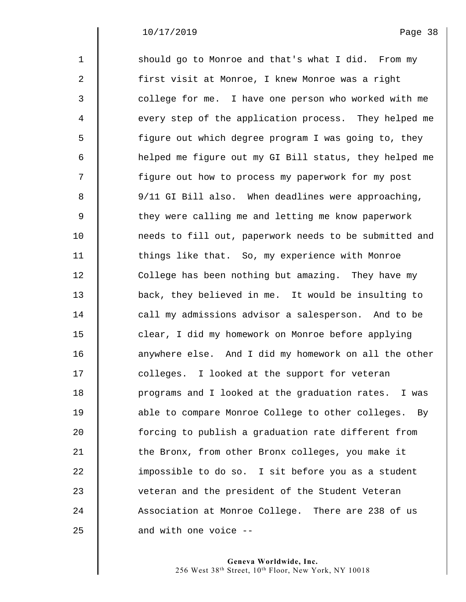| $\mathbf 1$    | should go to Monroe and that's what I did. From my     |
|----------------|--------------------------------------------------------|
| $\overline{a}$ | first visit at Monroe, I knew Monroe was a right       |
| 3              | college for me. I have one person who worked with me   |
| 4              | every step of the application process. They helped me  |
| 5              | figure out which degree program I was going to, they   |
| 6              | helped me figure out my GI Bill status, they helped me |
| 7              | figure out how to process my paperwork for my post     |
| 8              | 9/11 GI Bill also. When deadlines were approaching,    |
| $\mathsf 9$    | they were calling me and letting me know paperwork     |
| 10             | needs to fill out, paperwork needs to be submitted and |
| 11             | things like that. So, my experience with Monroe        |
| 12             | College has been nothing but amazing. They have my     |
| 13             | back, they believed in me. It would be insulting to    |
| 14             | call my admissions advisor a salesperson. And to be    |
| 15             | clear, I did my homework on Monroe before applying     |
| 16             | anywhere else. And I did my homework on all the other  |
| 17             | colleges. I looked at the support for veteran          |
| 18             | programs and I looked at the graduation rates. I was   |
| 19             | able to compare Monroe College to other colleges. By   |
| 20             | forcing to publish a graduation rate different from    |
| 21             | the Bronx, from other Bronx colleges, you make it      |
| 22             | impossible to do so. I sit before you as a student     |
| 23             | veteran and the president of the Student Veteran       |
| 24             | Association at Monroe College. There are 238 of us     |
| 25             | and with one voice --                                  |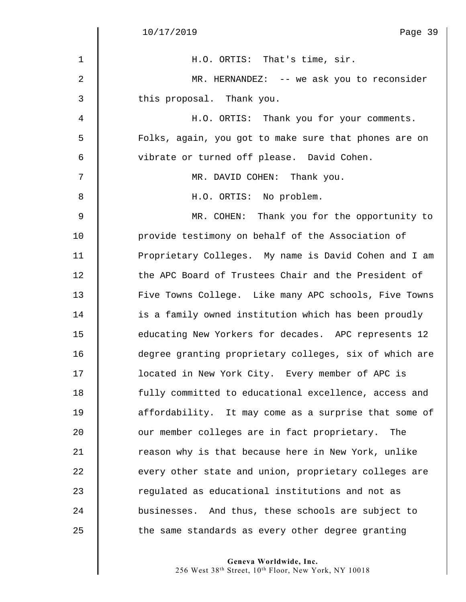$\parallel$ 

| aae |  |  |
|-----|--|--|

| H.O. ORTIS: That's time, sir.                          |
|--------------------------------------------------------|
| MR. HERNANDEZ: -- we ask you to reconsider             |
| this proposal. Thank you.                              |
| H.O. ORTIS: Thank you for your comments.               |
| Folks, again, you got to make sure that phones are on  |
| vibrate or turned off please. David Cohen.             |
| MR. DAVID COHEN: Thank you.                            |
| H.O. ORTIS: No problem.                                |
| MR. COHEN: Thank you for the opportunity to            |
| provide testimony on behalf of the Association of      |
| Proprietary Colleges. My name is David Cohen and I am  |
| the APC Board of Trustees Chair and the President of   |
| Five Towns College. Like many APC schools, Five Towns  |
| is a family owned institution which has been proudly   |
| educating New Yorkers for decades. APC represents 12   |
| degree granting proprietary colleges, six of which are |
| located in New York City. Every member of APC is       |
| fully committed to educational excellence, access and  |
| affordability. It may come as a surprise that some of  |
| our member colleges are in fact proprietary.<br>The    |
| reason why is that because here in New York, unlike    |
| every other state and union, proprietary colleges are  |
| regulated as educational institutions and not as       |
| businesses. And thus, these schools are subject to     |
| the same standards as every other degree granting      |
|                                                        |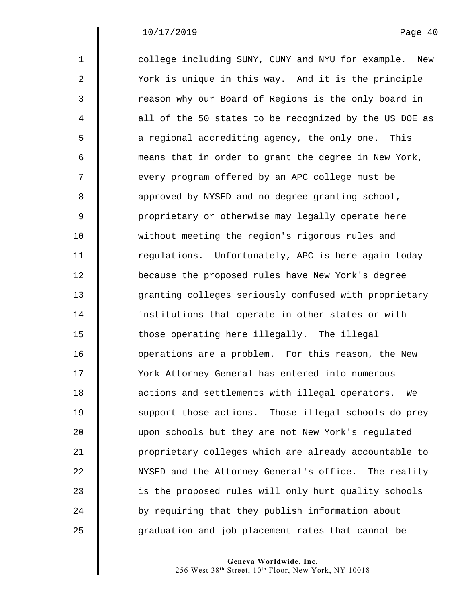| $\mathbf{1}$   | college including SUNY, CUNY and NYU for example. New  |
|----------------|--------------------------------------------------------|
| $\overline{2}$ | York is unique in this way. And it is the principle    |
| 3              | reason why our Board of Regions is the only board in   |
| 4              | all of the 50 states to be recognized by the US DOE as |
| 5              | a regional accrediting agency, the only one. This      |
| 6              | means that in order to grant the degree in New York,   |
| 7              | every program offered by an APC college must be        |
| 8              | approved by NYSED and no degree granting school,       |
| $\mathsf 9$    | proprietary or otherwise may legally operate here      |
| 10             | without meeting the region's rigorous rules and        |
| 11             | regulations. Unfortunately, APC is here again today    |
| 12             | because the proposed rules have New York's degree      |
| 13             | granting colleges seriously confused with proprietary  |
| 14             | institutions that operate in other states or with      |
| 15             | those operating here illegally. The illegal            |
| 16             | operations are a problem. For this reason, the New     |
| 17             | York Attorney General has entered into numerous        |
| 18             | actions and settlements with illegal operators. We     |
| 19             | support those actions. Those illegal schools do prey   |
| 20             | upon schools but they are not New York's regulated     |
| 21             | proprietary colleges which are already accountable to  |
| 22             | NYSED and the Attorney General's office. The reality   |
| 23             | is the proposed rules will only hurt quality schools   |
| 24             | by requiring that they publish information about       |
| 25             | graduation and job placement rates that cannot be      |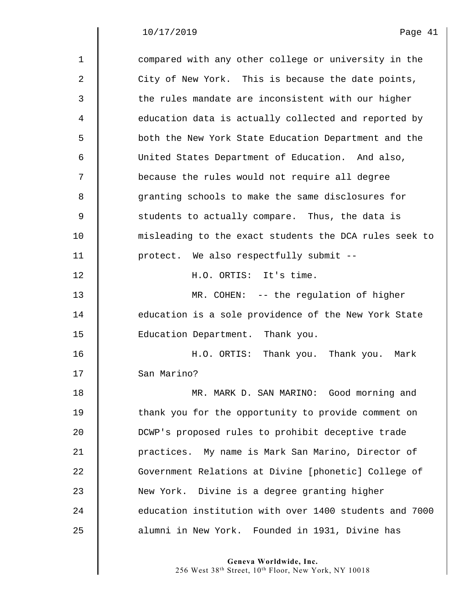#### $10/17/2019$

 $\parallel$ 

| $\sigma$<br>≏ |  |
|---------------|--|
| ۰             |  |

| $\mathbf{1}$ | compared with any other college or university in the   |
|--------------|--------------------------------------------------------|
| 2            | City of New York. This is because the date points,     |
| 3            | the rules mandate are inconsistent with our higher     |
| 4            | education data is actually collected and reported by   |
| 5            | both the New York State Education Department and the   |
| 6            | United States Department of Education. And also,       |
| 7            | because the rules would not require all degree         |
| 8            | granting schools to make the same disclosures for      |
| $\mathsf 9$  | students to actually compare. Thus, the data is        |
| 10           | misleading to the exact students the DCA rules seek to |
| 11           | protect. We also respectfully submit --                |
| 12           | H.O. ORTIS: It's time.                                 |
| 13           | MR. COHEN: -- the regulation of higher                 |
| 14           | education is a sole providence of the New York State   |
| 15           | Education Department. Thank you.                       |
| 16           | H.O. ORTIS: Thank you. Thank you. Mark                 |
| 17           | San Marino?                                            |
| 18           | MR. MARK D. SAN MARINO: Good morning and               |
| 19           | thank you for the opportunity to provide comment on    |
| 20           | DCWP's proposed rules to prohibit deceptive trade      |
| 21           | practices. My name is Mark San Marino, Director of     |
| 22           | Government Relations at Divine [phonetic] College of   |
| 23           | New York. Divine is a degree granting higher           |
| 24           | education institution with over 1400 students and 7000 |
| 25           | alumni in New York. Founded in 1931, Divine has        |

**Geneva Worldwide, Inc.** 

256 West 38th Street, 10th Floor, New York, NY 10018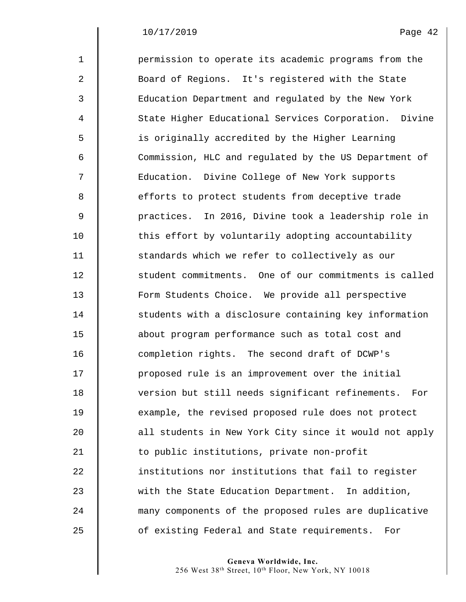| $\mathbf{1}$ | permission to operate its academic programs from the   |
|--------------|--------------------------------------------------------|
| 2            | Board of Regions. It's registered with the State       |
| 3            | Education Department and regulated by the New York     |
| 4            | State Higher Educational Services Corporation. Divine  |
| 5            | is originally accredited by the Higher Learning        |
| 6            | Commission, HLC and regulated by the US Department of  |
| 7            | Education. Divine College of New York supports         |
| 8            | efforts to protect students from deceptive trade       |
| 9            | practices. In 2016, Divine took a leadership role in   |
| 10           | this effort by voluntarily adopting accountability     |
| 11           | standards which we refer to collectively as our        |
| 12           | student commitments. One of our commitments is called  |
| 13           | Form Students Choice. We provide all perspective       |
| 14           | students with a disclosure containing key information  |
| 15           | about program performance such as total cost and       |
| 16           | completion rights. The second draft of DCWP's          |
| 17           | proposed rule is an improvement over the initial       |
| 18           | version but still needs significant refinements. For   |
| 19           | example, the revised proposed rule does not protect    |
| 20           | all students in New York City since it would not apply |
| 21           | to public institutions, private non-profit             |
| 22           | institutions nor institutions that fail to register    |
| 23           | with the State Education Department. In addition,      |
| 24           | many components of the proposed rules are duplicative  |
| 25           | of existing Federal and State requirements.<br>For     |

**Geneva Worldwide, Inc.** 

256 West 38th Street, 10th Floor, New York, NY 10018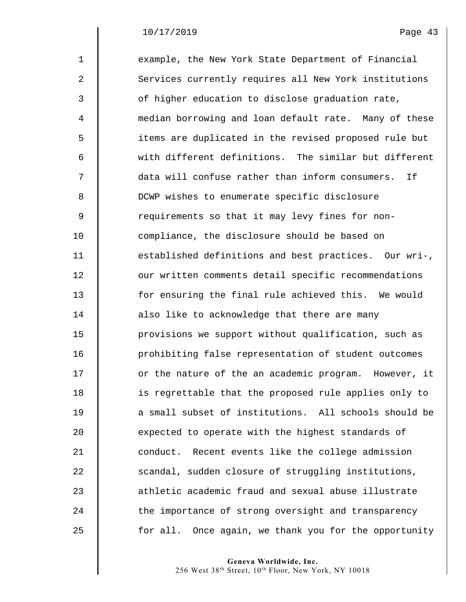| $\mathbf 1$ | example, the New York State Department of Financial   |
|-------------|-------------------------------------------------------|
| 2           | Services currently requires all New York institutions |
| 3           | of higher education to disclose graduation rate,      |
| 4           | median borrowing and loan default rate. Many of these |
| 5           | items are duplicated in the revised proposed rule but |
| 6           | with different definitions. The similar but different |
| 7           | data will confuse rather than inform consumers.<br>If |
| 8           | DCWP wishes to enumerate specific disclosure          |
| $\mathsf 9$ | requirements so that it may levy fines for non-       |
| 10          | compliance, the disclosure should be based on         |
| 11          | established definitions and best practices. Our wri-, |
| 12          | our written comments detail specific recommendations  |
| 13          | for ensuring the final rule achieved this. We would   |
| 14          | also like to acknowledge that there are many          |
| 15          | provisions we support without qualification, such as  |
| 16          | prohibiting false representation of student outcomes  |
| 17          | or the nature of the an academic program. However, it |
| 18          | is regrettable that the proposed rule applies only to |
| 19          | a small subset of institutions. All schools should be |
| 20          | expected to operate with the highest standards of     |
| 21          | conduct. Recent events like the college admission     |
| 22          | scandal, sudden closure of struggling institutions,   |
| 23          | athletic academic fraud and sexual abuse illustrate   |
| 24          | the importance of strong oversight and transparency   |
| 25          | for all. Once again, we thank you for the opportunity |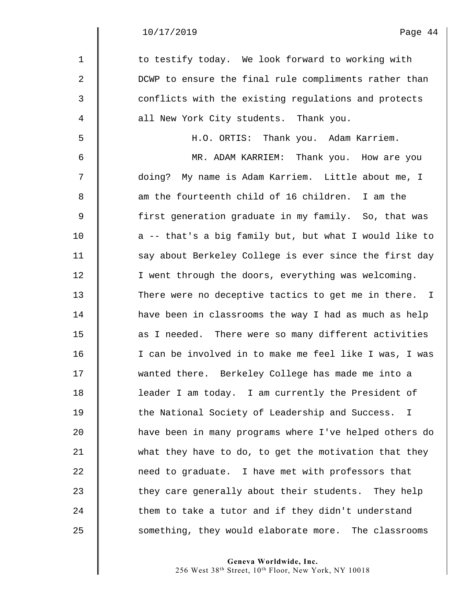$\parallel$ ∥

| $\mathbf{1}$   | to testify today. We look forward to working with               |
|----------------|-----------------------------------------------------------------|
| 2              | DCWP to ensure the final rule compliments rather than           |
| 3              | conflicts with the existing regulations and protects            |
| 4              | all New York City students. Thank you.                          |
| 5              | H.O. ORTIS: Thank you. Adam Karriem.                            |
| 6              | MR. ADAM KARRIEM: Thank you. How are you                        |
| 7              | doing? My name is Adam Karriem. Little about me, I              |
| 8              | am the fourteenth child of 16 children. I am the                |
| $\overline{9}$ | first generation graduate in my family. So, that was            |
| 10             | a -- that's a big family but, but what I would like to          |
| 11             | say about Berkeley College is ever since the first day          |
| 12             | I went through the doors, everything was welcoming.             |
| 13             | There were no deceptive tactics to get me in there. I           |
| 14             | have been in classrooms the way I had as much as help           |
| 15             | as I needed. There were so many different activities            |
| 16             | I can be involved in to make me feel like I was, I was          |
| 17             | wanted there. Berkeley College has made me into a               |
| 18             | leader I am today. I am currently the President of              |
| 19             | the National Society of Leadership and Success.<br>$\mathbf{I}$ |
| 20             | have been in many programs where I've helped others do          |
| 21             | what they have to do, to get the motivation that they           |
| 22             | need to graduate. I have met with professors that               |
| 23             | they care generally about their students. They help             |
| 24             | them to take a tutor and if they didn't understand              |
| 25             | something, they would elaborate more. The classrooms            |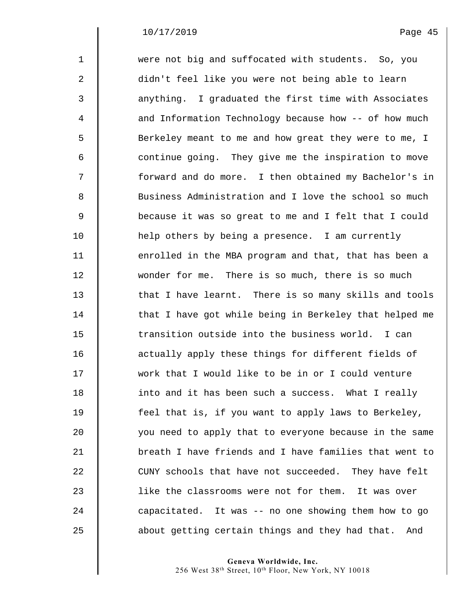| $\mathbf{1}$ | were not big and suffocated with students. So, you     |
|--------------|--------------------------------------------------------|
| 2            | didn't feel like you were not being able to learn      |
| 3            | anything. I graduated the first time with Associates   |
| 4            | and Information Technology because how -- of how much  |
| 5            | Berkeley meant to me and how great they were to me, I  |
| 6            | continue going. They give me the inspiration to move   |
| 7            | forward and do more. I then obtained my Bachelor's in  |
| 8            | Business Administration and I love the school so much  |
| $\mathsf 9$  | because it was so great to me and I felt that I could  |
| 10           | help others by being a presence. I am currently        |
| 11           | enrolled in the MBA program and that, that has been a  |
| 12           | wonder for me. There is so much, there is so much      |
| 13           | that I have learnt. There is so many skills and tools  |
| 14           | that I have got while being in Berkeley that helped me |
| 15           | transition outside into the business world. I can      |
| 16           | actually apply these things for different fields of    |
| 17           | work that I would like to be in or I could venture     |
| 18           | into and it has been such a success. What I really     |
| 19           | feel that is, if you want to apply laws to Berkeley,   |
| 20           | you need to apply that to everyone because in the same |
| 21           | breath I have friends and I have families that went to |
| 22           | CUNY schools that have not succeeded. They have felt   |
| 23           | like the classrooms were not for them. It was over     |
| 24           | capacitated. It was -- no one showing them how to go   |
| 25           | about getting certain things and they had that.<br>And |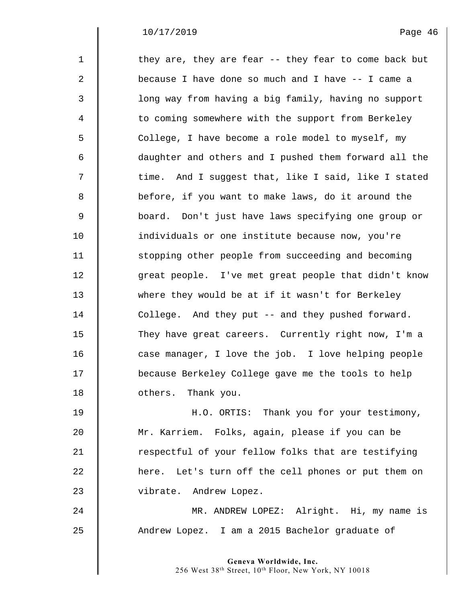| $\mathbf{1}$ | they are, they are fear -- they fear to come back but |
|--------------|-------------------------------------------------------|
| 2            | because I have done so much and I have -- I came a    |
| 3            | long way from having a big family, having no support  |
| 4            | to coming somewhere with the support from Berkeley    |
| 5            | College, I have become a role model to myself, my     |
| 6            | daughter and others and I pushed them forward all the |
| 7            | time. And I suggest that, like I said, like I stated  |
| 8            | before, if you want to make laws, do it around the    |
| 9            | board. Don't just have laws specifying one group or   |
| 10           | individuals or one institute because now, you're      |
| 11           | stopping other people from succeeding and becoming    |
| 12           | great people. I've met great people that didn't know  |
| 13           | where they would be at if it wasn't for Berkeley      |
| 14           | College. And they put -- and they pushed forward.     |
| 15           | They have great careers. Currently right now, I'm a   |
| 16           | case manager, I love the job. I love helping people   |
| 17           | because Berkeley College gave me the tools to help    |
| 18           | others. Thank you.                                    |
| 19           | H.O. ORTIS: Thank you for your testimony,             |
| 20           | Mr. Karriem. Folks, again, please if you can be       |
| 21           | respectful of your fellow folks that are testifying   |
| 22           | here. Let's turn off the cell phones or put them on   |
| 23           | vibrate. Andrew Lopez.                                |
| 24           | MR. ANDREW LOPEZ: Alright. Hi, my name is             |
| 25           | Andrew Lopez. I am a 2015 Bachelor graduate of        |
|              |                                                       |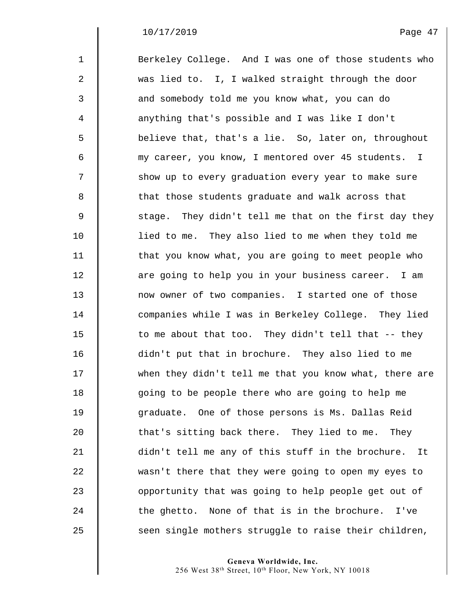| $\mathbf{1}$   | Berkeley College. And I was one of those students who  |
|----------------|--------------------------------------------------------|
| $\overline{a}$ | was lied to. I, I walked straight through the door     |
| 3              | and somebody told me you know what, you can do         |
| 4              | anything that's possible and I was like I don't        |
| 5              | believe that, that's a lie. So, later on, throughout   |
| 6              | my career, you know, I mentored over 45 students. I    |
| 7              | show up to every graduation every year to make sure    |
| 8              | that those students graduate and walk across that      |
| $\mathsf 9$    | stage. They didn't tell me that on the first day they  |
| 10             | lied to me. They also lied to me when they told me     |
| 11             | that you know what, you are going to meet people who   |
| 12             | are going to help you in your business career. I am    |
| 13             | now owner of two companies. I started one of those     |
| 14             | companies while I was in Berkeley College. They lied   |
| 15             | to me about that too. They didn't tell that -- they    |
| 16             | didn't put that in brochure. They also lied to me      |
| 17             | when they didn't tell me that you know what, there are |
| 18             | going to be people there who are going to help me      |
| 19             | graduate. One of those persons is Ms. Dallas Reid      |
| 20             | that's sitting back there. They lied to me. They       |
| 21             | didn't tell me any of this stuff in the brochure. It   |
| 22             | wasn't there that they were going to open my eyes to   |
| 23             | opportunity that was going to help people get out of   |
| 24             | the ghetto. None of that is in the brochure.<br>I've   |
| 25             | seen single mothers struggle to raise their children,  |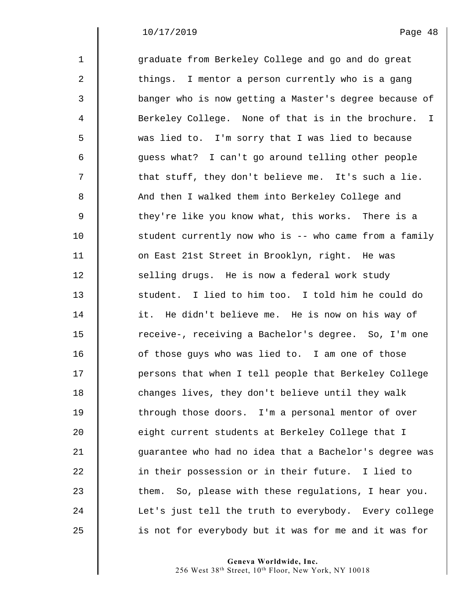| $\mathbf{1}$   | graduate from Berkeley College and go and do great      |
|----------------|---------------------------------------------------------|
| $\overline{a}$ | things. I mentor a person currently who is a gang       |
| 3              | banger who is now getting a Master's degree because of  |
| 4              | Berkeley College. None of that is in the brochure. I    |
| 5              | was lied to. I'm sorry that I was lied to because       |
| 6              | quess what? I can't go around telling other people      |
| 7              | that stuff, they don't believe me. It's such a lie.     |
| 8              | And then I walked them into Berkeley College and        |
| 9              | they're like you know what, this works. There is a      |
| 10             | student currently now who is -- who came from a family  |
| 11             | on East 21st Street in Brooklyn, right. He was          |
| 12             | selling drugs. He is now a federal work study           |
| 13             | student. I lied to him too. I told him he could do      |
| 14             | it. He didn't believe me. He is now on his way of       |
| 15             | receive-, receiving a Bachelor's degree. So, I'm one    |
| 16             | of those guys who was lied to. I am one of those        |
| 17             | persons that when I tell people that Berkeley College   |
| 18             | changes lives, they don't believe until they walk       |
| 19             | through those doors. I'm a personal mentor of over      |
| 20             | eight current students at Berkeley College that I       |
| 21             | guarantee who had no idea that a Bachelor's degree was  |
| 22             | in their possession or in their future. I lied to       |
| 23             | So, please with these regulations, I hear you.<br>them. |
| 24             | Let's just tell the truth to everybody. Every college   |
| 25             | is not for everybody but it was for me and it was for   |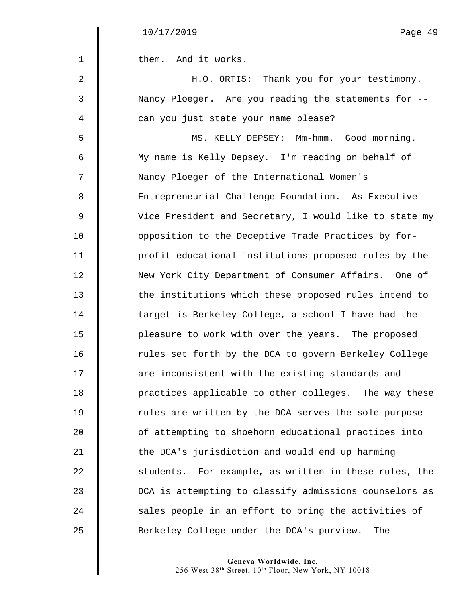1 | them. And it works.

| 2  | H.O. ORTIS: Thank you for your testimony.              |
|----|--------------------------------------------------------|
| 3  | Nancy Ploeger. Are you reading the statements for --   |
| 4  | can you just state your name please?                   |
| 5  | MS. KELLY DEPSEY: Mm-hmm. Good morning.                |
| 6  | My name is Kelly Depsey. I'm reading on behalf of      |
| 7  | Nancy Ploeger of the International Women's             |
| 8  | Entrepreneurial Challenge Foundation. As Executive     |
| 9  | Vice President and Secretary, I would like to state my |
| 10 | opposition to the Deceptive Trade Practices by for-    |
| 11 | profit educational institutions proposed rules by the  |
| 12 | New York City Department of Consumer Affairs. One of   |
| 13 | the institutions which these proposed rules intend to  |
| 14 | target is Berkeley College, a school I have had the    |
| 15 | pleasure to work with over the years. The proposed     |
| 16 | rules set forth by the DCA to govern Berkeley College  |
| 17 | are inconsistent with the existing standards and       |
| 18 | practices applicable to other colleges. The way these  |
| 19 | rules are written by the DCA serves the sole purpose   |
| 20 | of attempting to shoehorn educational practices into   |
| 21 | the DCA's jurisdiction and would end up harming        |
| 22 | students. For example, as written in these rules, the  |
| 23 | DCA is attempting to classify admissions counselors as |
| 24 | sales people in an effort to bring the activities of   |
| 25 | Berkeley College under the DCA's purview.<br>The       |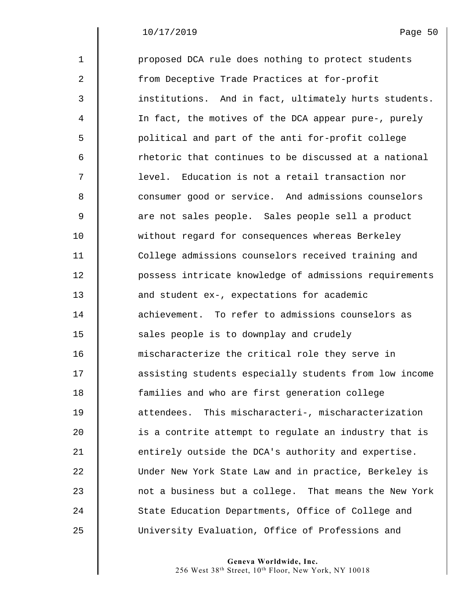| $\mathbf{1}$ | proposed DCA rule does nothing to protect students     |
|--------------|--------------------------------------------------------|
| 2            | from Deceptive Trade Practices at for-profit           |
| 3            | institutions. And in fact, ultimately hurts students.  |
| 4            | In fact, the motives of the DCA appear pure-, purely   |
| 5            | political and part of the anti for-profit college      |
| 6            | rhetoric that continues to be discussed at a national  |
| 7            | level. Education is not a retail transaction nor       |
| 8            | consumer good or service. And admissions counselors    |
| 9            | are not sales people. Sales people sell a product      |
| 10           | without regard for consequences whereas Berkeley       |
| 11           | College admissions counselors received training and    |
| 12           | possess intricate knowledge of admissions requirements |
| 13           | and student ex-, expectations for academic             |
| 14           | achievement. To refer to admissions counselors as      |
| 15           | sales people is to downplay and crudely                |
| 16           | mischaracterize the critical role they serve in        |
| 17           | assisting students especially students from low income |
| 18           | families and who are first generation college          |
| 19           | This mischaracteri-, mischaracterization<br>attendees. |
| 20           | is a contrite attempt to regulate an industry that is  |
| 21           | entirely outside the DCA's authority and expertise.    |
| 22           | Under New York State Law and in practice, Berkeley is  |
| 23           | not a business but a college. That means the New York  |
| 24           | State Education Departments, Office of College and     |
| 25           | University Evaluation, Office of Professions and       |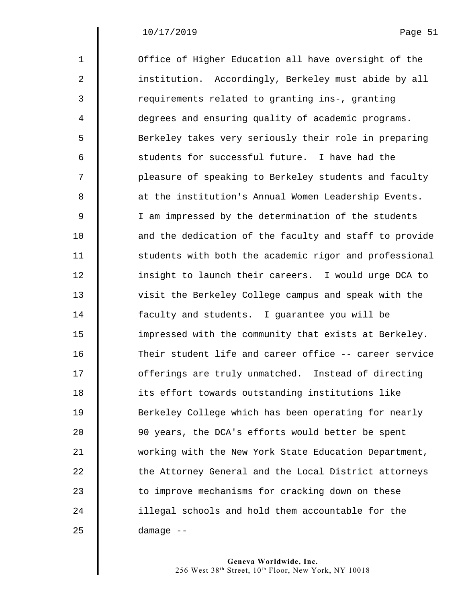| $\mathbf{1}$   | Office of Higher Education all have oversight of the   |
|----------------|--------------------------------------------------------|
| $\overline{a}$ | institution. Accordingly, Berkeley must abide by all   |
| 3              | requirements related to granting ins-, granting        |
| $\overline{4}$ | degrees and ensuring quality of academic programs.     |
| 5              | Berkeley takes very seriously their role in preparing  |
| 6              | students for successful future. I have had the         |
| 7              | pleasure of speaking to Berkeley students and faculty  |
| 8              | at the institution's Annual Women Leadership Events.   |
| $\mathsf 9$    | I am impressed by the determination of the students    |
| 10             | and the dedication of the faculty and staff to provide |
| 11             | students with both the academic rigor and professional |
| 12             | insight to launch their careers. I would urge DCA to   |
| 13             | visit the Berkeley College campus and speak with the   |
| 14             | faculty and students. I guarantee you will be          |
| 15             | impressed with the community that exists at Berkeley.  |
| 16             | Their student life and career office -- career service |
| 17             | offerings are truly unmatched. Instead of directing    |
| 18             | its effort towards outstanding institutions like       |
| 19             | Berkeley College which has been operating for nearly   |
| 20             | 90 years, the DCA's efforts would better be spent      |
| 21             | working with the New York State Education Department,  |
| 22             | the Attorney General and the Local District attorneys  |
| 23             | to improve mechanisms for cracking down on these       |
| 24             | illegal schools and hold them accountable for the      |
| 25             | damage --                                              |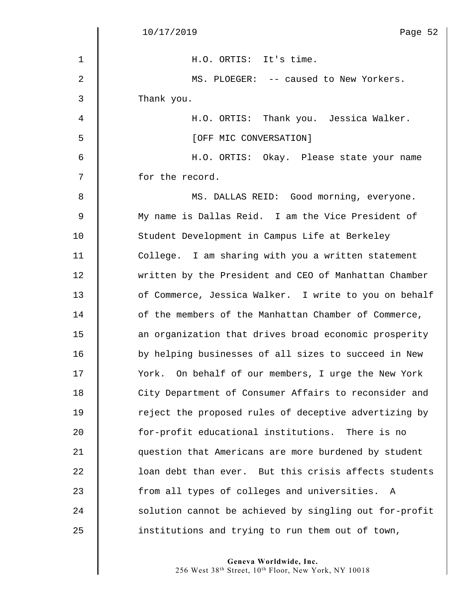|              | 10/17/2019<br>Page 52                                  |
|--------------|--------------------------------------------------------|
| $\mathbf{1}$ | H.O. ORTIS: It's time.                                 |
| 2            | MS. PLOEGER: -- caused to New Yorkers.                 |
| 3            | Thank you.                                             |
| 4            | H.O. ORTIS: Thank you. Jessica Walker.                 |
| 5            | [OFF MIC CONVERSATION]                                 |
| 6            | H.O. ORTIS: Okay. Please state your name               |
| 7            | for the record.                                        |
| 8            | MS. DALLAS REID: Good morning, everyone.               |
| $\mathsf 9$  | My name is Dallas Reid. I am the Vice President of     |
| 10           | Student Development in Campus Life at Berkeley         |
| 11           | College. I am sharing with you a written statement     |
| 12           | written by the President and CEO of Manhattan Chamber  |
| 13           | of Commerce, Jessica Walker. I write to you on behalf  |
| 14           | of the members of the Manhattan Chamber of Commerce,   |
| 15           | an organization that drives broad economic prosperity  |
| 16           | by helping businesses of all sizes to succeed in New   |
| 17           | York. On behalf of our members, I urge the New York    |
| 18           | City Department of Consumer Affairs to reconsider and  |
| 19           | reject the proposed rules of deceptive advertizing by  |
| 20           | for-profit educational institutions. There is no       |
| 21           | question that Americans are more burdened by student   |
| 22           | loan debt than ever. But this crisis affects students  |
| 23           | from all types of colleges and universities.<br>A      |
| 24           | solution cannot be achieved by singling out for-profit |
| 25           | institutions and trying to run them out of town,       |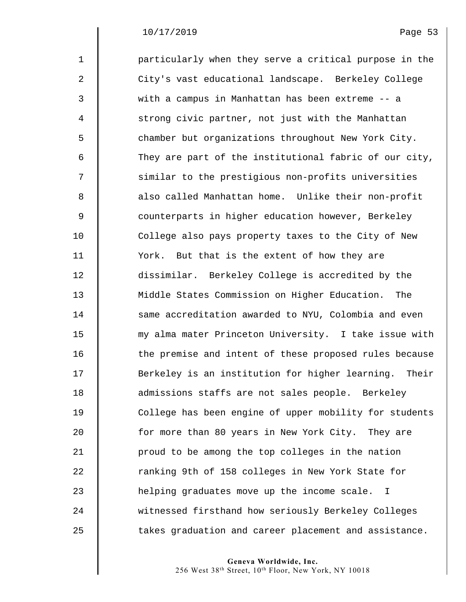| $\mathbf{1}$ | particularly when they serve a critical purpose in the      |
|--------------|-------------------------------------------------------------|
| 2            | City's vast educational landscape. Berkeley College         |
| 3            | with a campus in Manhattan has been extreme -- a            |
| 4            | strong civic partner, not just with the Manhattan           |
| 5            | chamber but organizations throughout New York City.         |
| 6            | They are part of the institutional fabric of our city,      |
| 7            | similar to the prestigious non-profits universities         |
| 8            | also called Manhattan home. Unlike their non-profit         |
| 9            | counterparts in higher education however, Berkeley          |
| 10           | College also pays property taxes to the City of New         |
| 11           | York. But that is the extent of how they are                |
| 12           | dissimilar. Berkeley College is accredited by the           |
| 13           | Middle States Commission on Higher Education. The           |
| 14           | same accreditation awarded to NYU, Colombia and even        |
| 15           | my alma mater Princeton University. I take issue with       |
| 16           | the premise and intent of these proposed rules because      |
| 17           | Berkeley is an institution for higher learning. Their       |
| 18           | admissions staffs are not sales people. Berkeley            |
| 19           | College has been engine of upper mobility for students      |
| 20           | for more than 80 years in New York City. They are           |
| 21           | proud to be among the top colleges in the nation            |
| 22           | ranking 9th of 158 colleges in New York State for           |
| 23           | helping graduates move up the income scale.<br>$\mathbb{I}$ |
| 24           | witnessed firsthand how seriously Berkeley Colleges         |
| 25           | takes graduation and career placement and assistance.       |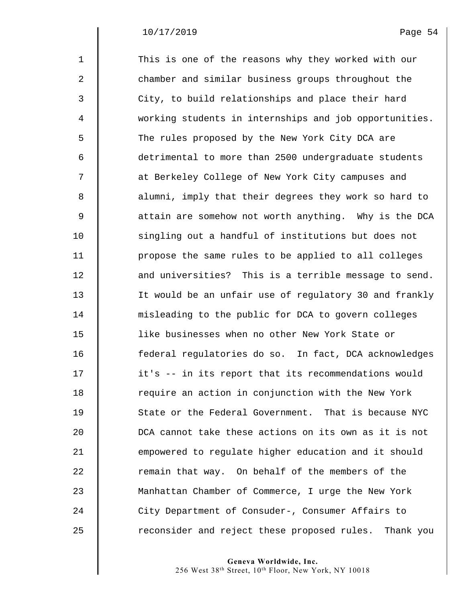| $\mathbf{1}$     | This is one of the reasons why they worked with our      |
|------------------|----------------------------------------------------------|
| $\boldsymbol{2}$ | chamber and similar business groups throughout the       |
| 3                | City, to build relationships and place their hard        |
| 4                | working students in internships and job opportunities.   |
| 5                | The rules proposed by the New York City DCA are          |
| 6                | detrimental to more than 2500 undergraduate students     |
| 7                | at Berkeley College of New York City campuses and        |
| 8                | alumni, imply that their degrees they work so hard to    |
| $\mathsf 9$      | attain are somehow not worth anything. Why is the DCA    |
| 10               | singling out a handful of institutions but does not      |
| 11               | propose the same rules to be applied to all colleges     |
| 12               | and universities? This is a terrible message to send.    |
| 13               | It would be an unfair use of regulatory 30 and frankly   |
| 14               | misleading to the public for DCA to govern colleges      |
| 15               | like businesses when no other New York State or          |
| 16               | federal regulatories do so. In fact, DCA acknowledges    |
| 17               | it's -- in its report that its recommendations would     |
| 18               | require an action in conjunction with the New York       |
| 19               | State or the Federal Government. That is because NYC     |
| 20               | DCA cannot take these actions on its own as it is not    |
| 21               | empowered to regulate higher education and it should     |
| 22               | remain that way. On behalf of the members of the         |
| 23               | Manhattan Chamber of Commerce, I urge the New York       |
| 24               | City Department of Consuder-, Consumer Affairs to        |
| 25               | reconsider and reject these proposed rules.<br>Thank you |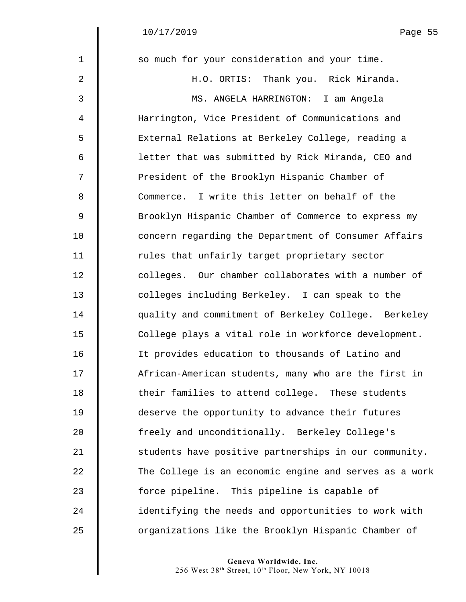| $\mathbf 1$ | so much for your consideration and your time.          |
|-------------|--------------------------------------------------------|
| 2           | H.O. ORTIS: Thank you. Rick Miranda.                   |
| 3           | MS. ANGELA HARRINGTON: I am Angela                     |
| 4           | Harrington, Vice President of Communications and       |
| 5           | External Relations at Berkeley College, reading a      |
| 6           | letter that was submitted by Rick Miranda, CEO and     |
| 7           | President of the Brooklyn Hispanic Chamber of          |
| 8           | Commerce. I write this letter on behalf of the         |
| $\mathsf 9$ | Brooklyn Hispanic Chamber of Commerce to express my    |
| 10          | concern regarding the Department of Consumer Affairs   |
| 11          | rules that unfairly target proprietary sector          |
| 12          | colleges. Our chamber collaborates with a number of    |
| 13          | colleges including Berkeley. I can speak to the        |
| 14          | quality and commitment of Berkeley College. Berkeley   |
| 15          | College plays a vital role in workforce development.   |
| 16          | It provides education to thousands of Latino and       |
| 17          | African-American students, many who are the first in   |
| 18          | their families to attend college. These students       |
| 19          | deserve the opportunity to advance their futures       |
| 20          | freely and unconditionally. Berkeley College's         |
| 21          | students have positive partnerships in our community.  |
| 22          | The College is an economic engine and serves as a work |
| 23          | force pipeline. This pipeline is capable of            |
| 24          | identifying the needs and opportunities to work with   |
| 25          | organizations like the Brooklyn Hispanic Chamber of    |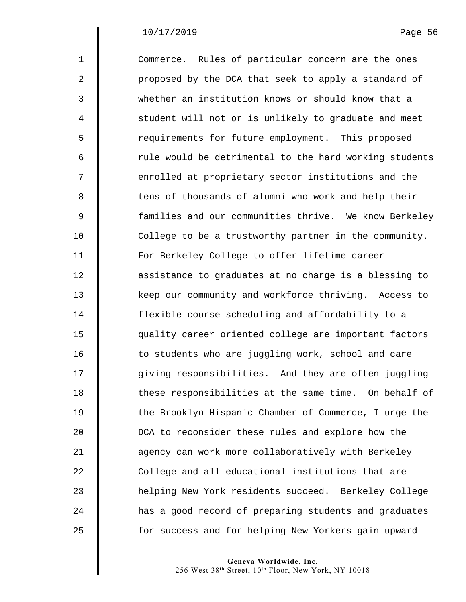| $\mathbf{1}$   | Commerce. Rules of particular concern are the ones     |
|----------------|--------------------------------------------------------|
| 2              | proposed by the DCA that seek to apply a standard of   |
| 3              | whether an institution knows or should know that a     |
| $\overline{4}$ | student will not or is unlikely to graduate and meet   |
| 5              | requirements for future employment. This proposed      |
| 6              | rule would be detrimental to the hard working students |
| 7              | enrolled at proprietary sector institutions and the    |
| 8              | tens of thousands of alumni who work and help their    |
| $\mathsf 9$    | families and our communities thrive. We know Berkeley  |
| 10             | College to be a trustworthy partner in the community.  |
| 11             | For Berkeley College to offer lifetime career          |
| 12             | assistance to graduates at no charge is a blessing to  |
| 13             | keep our community and workforce thriving. Access to   |
| 14             | flexible course scheduling and affordability to a      |
| 15             | quality career oriented college are important factors  |
| 16             | to students who are juggling work, school and care     |
| 17             | giving responsibilities. And they are often juggling   |
| 18             | these responsibilities at the same time. On behalf of  |
| 19             | the Brooklyn Hispanic Chamber of Commerce, I urge the  |
| 20             | DCA to reconsider these rules and explore how the      |
| 21             | agency can work more collaboratively with Berkeley     |
| 22             | College and all educational institutions that are      |
| 23             | helping New York residents succeed. Berkeley College   |
| 24             | has a good record of preparing students and graduates  |
| 25             | for success and for helping New Yorkers gain upward    |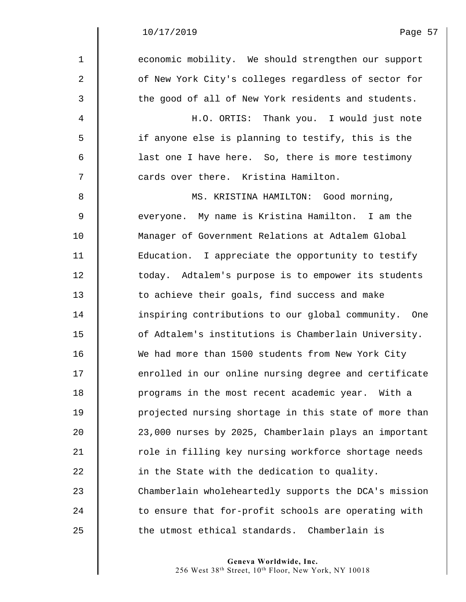$\mathbf I$ 

| $\mathbf{1}$   | economic mobility. We should strengthen our support   |
|----------------|-------------------------------------------------------|
| $\overline{2}$ | of New York City's colleges regardless of sector for  |
| 3              | the good of all of New York residents and students.   |
| 4              | H.O. ORTIS: Thank you. I would just note              |
| 5              | if anyone else is planning to testify, this is the    |
| 6              | last one I have here. So, there is more testimony     |
| 7              | cards over there. Kristina Hamilton.                  |
| 8              | MS. KRISTINA HAMILTON: Good morning,                  |
| $\mathsf 9$    | everyone. My name is Kristina Hamilton. I am the      |
| 10             | Manager of Government Relations at Adtalem Global     |
| 11             | Education. I appreciate the opportunity to testify    |
| 12             | today. Adtalem's purpose is to empower its students   |
| 13             | to achieve their goals, find success and make         |
| 14             | inspiring contributions to our global community. One  |
| 15             | of Adtalem's institutions is Chamberlain University.  |
| 16             | We had more than 1500 students from New York City     |
| 17             | enrolled in our online nursing degree and certificate |
| 18             | programs in the most recent academic year. With a     |
| 19             | projected nursing shortage in this state of more than |
| 20             | 23,000 nurses by 2025, Chamberlain plays an important |
| 21             | role in filling key nursing workforce shortage needs  |
| 22             | in the State with the dedication to quality.          |
| 23             | Chamberlain wholeheartedly supports the DCA's mission |
| 24             | to ensure that for-profit schools are operating with  |
| 25             | the utmost ethical standards. Chamberlain is          |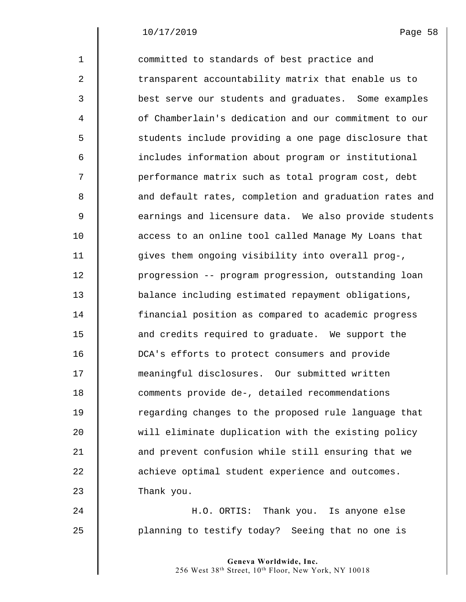| $\mathbf 1$ | committed to standards of best practice and            |
|-------------|--------------------------------------------------------|
| 2           | transparent accountability matrix that enable us to    |
| 3           | best serve our students and graduates. Some examples   |
| 4           | of Chamberlain's dedication and our commitment to our  |
| 5           | students include providing a one page disclosure that  |
| 6           | includes information about program or institutional    |
| 7           | performance matrix such as total program cost, debt    |
| 8           | and default rates, completion and graduation rates and |
| $\mathsf 9$ | earnings and licensure data. We also provide students  |
| 10          | access to an online tool called Manage My Loans that   |
| 11          | gives them ongoing visibility into overall prog-,      |
| 12          | progression -- program progression, outstanding loan   |
| 13          | balance including estimated repayment obligations,     |
| 14          | financial position as compared to academic progress    |
| 15          | and credits required to graduate. We support the       |
| 16          | DCA's efforts to protect consumers and provide         |
| 17          | meaningful disclosures. Our submitted written          |
| 18          | comments provide de-, detailed recommendations         |
| 19          | regarding changes to the proposed rule language that   |
| 20          | will eliminate duplication with the existing policy    |
| 21          | and prevent confusion while still ensuring that we     |
| 22          | achieve optimal student experience and outcomes.       |
| 23          | Thank you.                                             |
| 24          | H.O. ORTIS: Thank you. Is anyone else                  |

25 **planning to testify today?** Seeing that no one is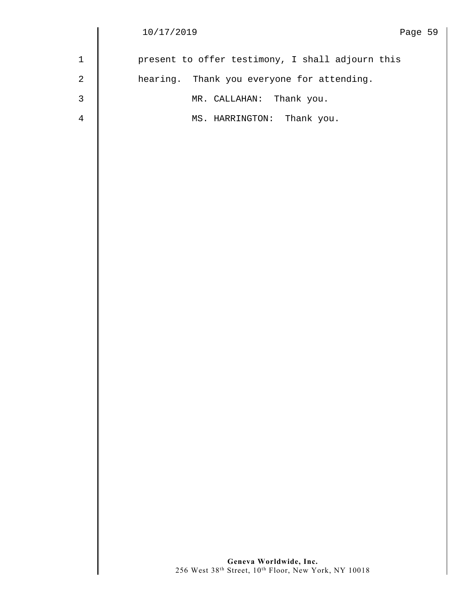$\begin{array}{c} \hline \end{array}$ 

| 1 | present to offer testimony, I shall adjourn this |
|---|--------------------------------------------------|
| 2 | hearing. Thank you everyone for attending.       |
| 3 | MR. CALLAHAN: Thank you.                         |
| 4 | MS. HARRINGTON: Thank you.                       |
|   |                                                  |
|   |                                                  |